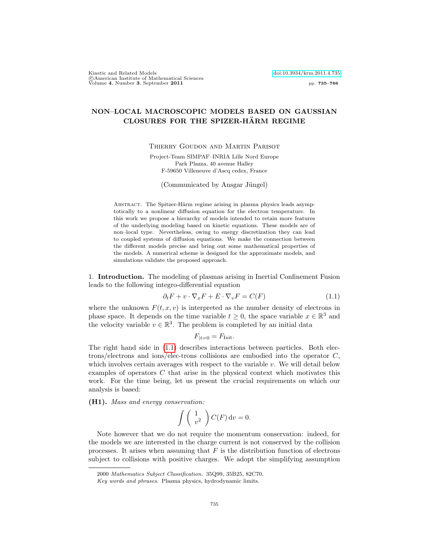Kinetic and Related Models<br>©American Institute of Mathematical Sciences<br>Volume 4, Number 3, September 2011

## NON–LOCAL MACROSCOPIC MODELS BASED ON GAUSSIAN CLOSURES FOR THE SPIZER-HÄRM REGIME

Thierry Goudon and Martin Parisot

Project-Team SIMPAF–INRIA Lille Nord Europe Park Plazza, 40 avenue Halley F-59650 Villeneuve d'Ascq cedex, France

(Communicated by Ansgar Jüngel)

ABSTRACT. The Spitzer-Härm regime arising in plasma physics leads asymptotically to a nonlinear diffusion equation for the electron temperature. In this work we propose a hierarchy of models intended to retain more features of the underlying modeling based on kinetic equations. These models are of non–local type. Nevertheless, owing to energy discretization they can lead to coupled systems of diffusion equations. We make the connection between the different models precise and bring out some mathematical properties of the models. A numerical scheme is designed for the approximate models, and simulations validate the proposed approach.

1. Introduction. The modeling of plasmas arising in Inertial Confinement Fusion leads to the following integro-differential equation

<span id="page-0-0"></span>
$$
\partial_t F + v \cdot \nabla_x F + E \cdot \nabla_v F = C(F) \tag{1.1}
$$

where the unknown  $F(t, x, v)$  is interpreted as the number density of electrons in phase space. It depends on the time variable  $t \geq 0$ , the space variable  $x \in \mathbb{R}^3$  and the velocity variable  $v \in \mathbb{R}^3$ . The problem is completed by an initial data

$$
F_{|t=0} = F_{\text{Init}}.
$$

The right hand side in [\(1.1\)](#page-0-0) describes interactions between particles. Both electrons/electrons and ions/elec-trons collisions are embodied into the operator C, which involves certain averages with respect to the variable v. We will detail below examples of operators C that arise in the physical context which motivates this work. For the time being, let us present the crucial requirements on which our analysis is based:

(H1). Mass and energy conservation:

$$
\int \left( \begin{array}{c} 1 \\ v^2 \end{array} \right) C(F) \, \mathrm{d}v = 0.
$$

Note however that we do not require the momentum conservation: indeed, for the models we are interested in the charge current is not conserved by the collision processes. It arises when assuming that  $F$  is the distribution function of electrons subject to collisions with positive charges. We adopt the simplifying assumption

<sup>2000</sup> Mathematics Subject Classification. 35Q99, 35B25, 82C70.

Key words and phrases. Plasma physics, hydrodynamic limits.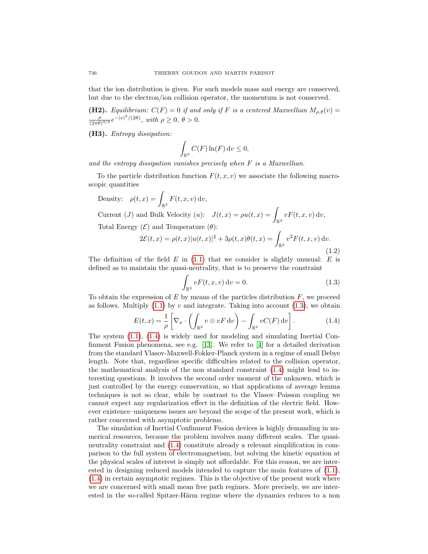that the ion distribution is given. For such models mass and energy are conserved, but due to the electron/ion collision operator, the momentum is not conserved.

(H2). Equilibrium:  $C(F) = 0$  if and only if F is a centered Maxwellian  $M_{\rho,\theta}(v) =$ ρ  $\frac{\rho}{(2\pi\theta)^{3/2}}e^{-|v|^2/(2\theta)}, \text{ with } \rho \ge 0, \theta > 0.$ 

(H3). Entropy dissipation:

$$
\int_{\mathbb{R}^3} C(F) \ln(F) \, \mathrm{d}v \le 0,
$$

and the entropy dissipation vanishes precisely when F is a Maxwellian.

To the particle distribution function  $F(t, x, v)$  we associate the following macroscopic quantities

<span id="page-1-2"></span>Density: 
$$
\rho(t, x) = \int_{\mathbb{R}^3} F(t, x, v) dv
$$
,  
\nCurrent (J) and Bulk Velocity (u):  $J(t, x) = \rho u(t, x) = \int_{\mathbb{R}^3} v F(t, x, v) dv$ ,  
\nTotal Energy ( $\mathcal{E}$ ) and Temperature ( $\theta$ ):  
\n $2\mathcal{E}(t, x) = \rho(t, x) |u(t, x)|^2 + 3\rho(t, x)\theta(t, x) = \int_{\mathbb{R}^3} v^2 F(t, x, v) dv$ .

(1.2)

The definition of the field  $E$  in [\(1.1\)](#page-0-0) that we consider is slightly unusual:  $E$  is defined as to maintain the quasi-neutrality, that is to preserve the constraint

<span id="page-1-0"></span>
$$
\int_{\mathbb{R}^3} v F(t, x, v) dv = 0.
$$
\n(1.3)

To obtain the expression of  $E$  by means of the particles distribution  $F$ , we proceed as follows. Multiply  $(1.1)$  by v and integrate. Taking into account  $(1.3)$ , we obtain

<span id="page-1-1"></span>
$$
E(t,x) = \frac{1}{\rho} \left[ \nabla_x \cdot \left( \int_{\mathbb{R}^3} v \otimes v F \, \mathrm{d}v \right) - \int_{\mathbb{R}^3} v C(F) \, \mathrm{d}v \right]. \tag{1.4}
$$

The system [\(1.1\)](#page-0-0), [\(1.4\)](#page-1-1) is widely used for modeling and simulating Inertial Confinment Fusion phenomena, see e.g. [\[13\]](#page-31-0). We refer to [\[4\]](#page-31-1) for a detailed derivation from the standard Vlasov-Maxwell-Fokker-Planck system in a regime of small Debye length. Note that, regardless specific difficulties related to the collision operator, the mathematical analysis of the non standard constraint [\(1.4\)](#page-1-1) might lead to interesting questions. It involves the second order moment of the unknown, which is just controlled by the energy conservation, so that applications of average lemma techniques is not so clear, while by contrast to the Vlasov–Poisson coupling we cannot expect any regularization effect in the definition of the electric field. However existence–uniqueness issues are beyond the scope of the present work, which is rather concerned with asymptotic problems.

The simulation of Inertial Confinment Fusion devices is highly demanding in numerical resources, because the problem involves many different scales. The quasineutrality constraint and [\(1.4\)](#page-1-1) constitute already a relevant simplification in comparison to the full system of electromagnetism, but solving the kinetic equation at the physical scales of interest is simply not affordable. For this reason, we are interested in designing reduced models intended to capture the main features of [\(1.1\)](#page-0-0), [\(1.4\)](#page-1-1) in certain asymptotic regimes. This is the objective of the present work where we are concerned with small mean free path regimes. More precisely, we are interested in the so-called Spitzer-Härm regime where the dynamics reduces to a non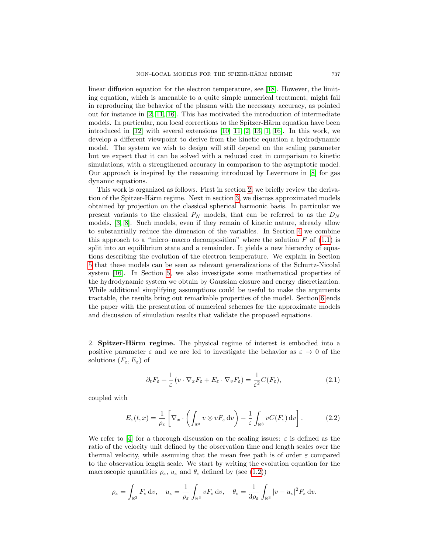linear diffusion equation for the electron temperature, see [\[18\]](#page-31-2). However, the limiting equation, which is amenable to a quite simple numerical treatment, might fail in reproducing the behavior of the plasma with the necessary accuracy, as pointed out for instance in [\[2,](#page-31-3) [11,](#page-31-4) [16\]](#page-31-5). This has motivated the introduction of intermediate models. In particular, non local corrections to the Spitzer-Härm equation have been introduced in  $[12]$  with several extensions  $[10, 11, 2, 13, 1, 16]$  $[10, 11, 2, 13, 1, 16]$  $[10, 11, 2, 13, 1, 16]$  $[10, 11, 2, 13, 1, 16]$  $[10, 11, 2, 13, 1, 16]$  $[10, 11, 2, 13, 1, 16]$ . In this work, we develop a different viewpoint to derive from the kinetic equation a hydrodynamic model. The system we wish to design will still depend on the scaling parameter but we expect that it can be solved with a reduced cost in comparison to kinetic simulations, with a strengthened accuracy in comparison to the asymptotic model. Our approach is inspired by the reasoning introduced by Levermore in [\[8\]](#page-31-9) for gas dynamic equations.

This work is organized as follows. First in section [2,](#page-2-0) we briefly review the deriva-tion of the Spitzer-Härm regime. Next in section [3,](#page-4-0) we discuss approximated models obtained by projection on the classical spherical harmonic basis. In particular we present variants to the classical  $P_N$  models, that can be referred to as the  $D_N$ models, [\[3,](#page-31-10) [8\]](#page-31-9). Such models, even if they remain of kinetic nature, already allow to substantially reduce the dimension of the variables. In Section [4](#page-7-0) we combine this approach to a "micro–macro decomposition" where the solution  $F$  of  $(1.1)$  is split into an equilibrium state and a remainder. It yields a new hierarchy of equations describing the evolution of the electron temperature. We explain in Section [5](#page-15-0) that these models can be seen as relevant generalizations of the Schurtz-Nicola¨ı system [\[16\]](#page-31-5). In Section [5,](#page-15-0) we also investigate some mathematical properties of the hydrodynamic system we obtain by Gaussian closure and energy discretization. While additional simplifying assumptions could be useful to make the arguments tractable, the results bring out remarkable properties of the model. Section [6](#page-23-0) ends the paper with the presentation of numerical schemes for the approximate models and discussion of simulation results that validate the proposed equations.

<span id="page-2-0"></span>2. **Spitzer-Härm regime.** The physical regime of interest is embodied into a positive parameter  $\varepsilon$  and we are led to investigate the behavior as  $\varepsilon \to 0$  of the solutions  $(F_{\varepsilon}, E_{\varepsilon})$  of

<span id="page-2-1"></span>
$$
\partial_t F_{\varepsilon} + \frac{1}{\varepsilon} \left( v \cdot \nabla_x F_{\varepsilon} + E_{\varepsilon} \cdot \nabla_v F_{\varepsilon} \right) = \frac{1}{\varepsilon^2} C(F_{\varepsilon}), \tag{2.1}
$$

coupled with

<span id="page-2-2"></span>
$$
E_{\varepsilon}(t,x) = \frac{1}{\rho_{\varepsilon}} \left[ \nabla_x \cdot \left( \int_{\mathbb{R}^3} v \otimes v F_{\varepsilon} \, \mathrm{d}v \right) - \frac{1}{\varepsilon} \int_{\mathbb{R}^3} v C(F_{\varepsilon}) \, \mathrm{d}v \right]. \tag{2.2}
$$

We refer to [\[4\]](#page-31-1) for a thorough discussion on the scaling issues:  $\varepsilon$  is defined as the ratio of the velocity unit defined by the observation time and length scales over the thermal velocity, while assuming that the mean free path is of order  $\varepsilon$  compared to the observation length scale. We start by writing the evolution equation for the macroscopic quantities  $\rho_{\varepsilon}$ ,  $u_{\varepsilon}$  and  $\theta_{\varepsilon}$  defined by (see [\(1.2\)](#page-1-2))

$$
\rho_{\varepsilon} = \int_{\mathbb{R}^3} F_{\varepsilon} \, \mathrm{d}v, \quad u_{\varepsilon} = \frac{1}{\rho_{\varepsilon}} \int_{\mathbb{R}^3} v F_{\varepsilon} \, \mathrm{d}v, \quad \theta_{\varepsilon} = \frac{1}{3\rho_{\varepsilon}} \int_{\mathbb{R}^3} |v - u_{\varepsilon}|^2 F_{\varepsilon} \, \mathrm{d}v.
$$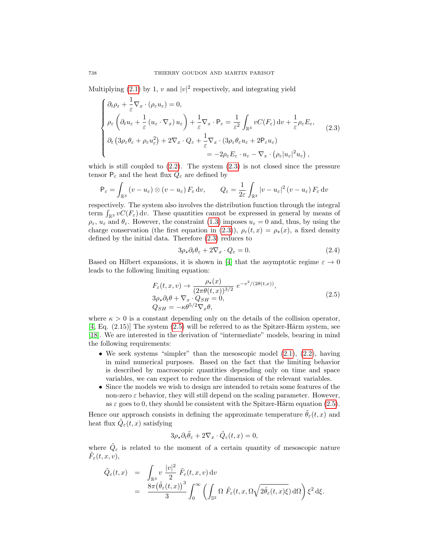Multiplying [\(2.1\)](#page-2-1) by 1, v and  $|v|^2$  respectively, and integrating yield

<span id="page-3-0"></span>
$$
\begin{cases}\n\partial_t \rho_{\varepsilon} + \frac{1}{\varepsilon} \nabla_x \cdot (\rho_{\varepsilon} u_{\varepsilon}) = 0, \\
\rho_{\varepsilon} \left( \partial_t u_{\varepsilon} + \frac{1}{\varepsilon} (u_{\varepsilon} \cdot \nabla_x) u_{\varepsilon} \right) + \frac{1}{\varepsilon} \nabla_x \cdot \mathsf{P}_{\varepsilon} = \frac{1}{\varepsilon^2} \int_{\mathbb{R}^3} v C(F_{\varepsilon}) dv + \frac{1}{\varepsilon} \rho_{\varepsilon} E_{\varepsilon}, \\
\partial_t \left( 3 \rho_{\varepsilon} \theta_{\varepsilon} + \rho_{\varepsilon} u_{\varepsilon}^2 \right) + 2 \nabla_x \cdot Q_{\varepsilon} + \frac{1}{\varepsilon} \nabla_x \cdot (3 \rho_{\varepsilon} \theta_{\varepsilon} u_{\varepsilon} + 2 \mathsf{P}_{\varepsilon} u_{\varepsilon}) \\
= -2 \rho_{\varepsilon} E_{\varepsilon} \cdot u_{\varepsilon} - \nabla_x \cdot (\rho_{\varepsilon} |u_{\varepsilon}|^2 u_{\varepsilon}),\n\end{cases} \tag{2.3}
$$

which is still coupled to  $(2.2)$ . The system  $(2.3)$  is not closed since the pressure tensor  $P_{\varepsilon}$  and the heat flux  $Q_{\varepsilon}$  are defined by

$$
\mathsf{P}_{\varepsilon} = \int_{\mathbb{R}^3} \left( v - u_{\varepsilon} \right) \otimes \left( v - u_{\varepsilon} \right) F_{\varepsilon} \, \mathrm{d}v, \qquad Q_{\varepsilon} = \frac{1}{2\varepsilon} \int_{\mathbb{R}^3} |v - u_{\varepsilon}|^2 \left( v - u_{\varepsilon} \right) F_{\varepsilon} \, \mathrm{d}v
$$

respectively. The system also involves the distribution function through the integral term  $\int_{\mathbb{R}^3} vC(F_{\varepsilon}) dv$ . These quantities cannot be expressed in general by means of  $\rho_{\varepsilon}$ ,  $u_{\varepsilon}$  and  $\theta_{\varepsilon}$ . However, the constraint [\(1.3\)](#page-1-0) imposes  $u_{\varepsilon} = 0$  and, thus, by using the charge conservation (the first equation in [\(2.3\)](#page-3-0)),  $\rho_{\varepsilon}(t,x) = \rho_{\star}(x)$ , a fixed density defined by the initial data. Therefore [\(2.3\)](#page-3-0) reduces to

<span id="page-3-2"></span>
$$
3\rho_{\star}\partial_t\theta_{\varepsilon} + 2\nabla_x \cdot Q_{\varepsilon} = 0. \tag{2.4}
$$

Based on Hilbert expansions, it is shown in [\[4\]](#page-31-1) that the asymptotic regime  $\varepsilon \to 0$ leads to the following limiting equation:

<span id="page-3-1"></span>
$$
F_{\varepsilon}(t, x, v) \to \frac{\rho_{\star}(x)}{(2\pi\theta(t, x))^{3/2}} e^{-v^2/(2\theta(t, x))},
$$
  
\n
$$
3\rho_{\star}\partial_t\theta + \nabla_x \cdot Q_{SH} = 0,
$$
  
\n
$$
Q_{SH} = -\kappa\theta^{5/2} \nabla_x\theta,
$$
\n(2.5)

where  $\kappa > 0$  is a constant depending only on the details of the collision operator,  $[4, Eq. (2.15)]$  $[4, Eq. (2.15)]$  The system  $(2.5)$  will be referred to as the Spitzer-Härm system, see [\[18\]](#page-31-2). We are interested in the derivation of "intermediate" models, bearing in mind the following requirements:

- We seek systems "simpler" than the mesoscopic model  $(2.1)$ ,  $(2.2)$ , having in mind numerical purposes. Based on the fact that the limiting behavior is described by macroscopic quantities depending only on time and space variables, we can expect to reduce the dimension of the relevant variables.
- Since the models we wish to design are intended to retain some features of the non-zero  $\varepsilon$  behavior, they will still depend on the scaling parameter. However, as  $\varepsilon$  goes to 0, they should be consistent with the Spitzer-Härm equation [\(2.5\)](#page-3-1).

Hence our approach consists in defining the approximate temperature  $\tilde{\theta}_{\varepsilon}(t,x)$  and heat flux  $\tilde{Q}_{\varepsilon}(t,x)$  satisfying

$$
3\rho_{\star}\partial_t\tilde{\theta}_{\varepsilon} + 2\nabla_x \cdot \tilde{Q}_{\varepsilon}(t,x) = 0,
$$

where  $\tilde{Q}_{\varepsilon}$  is related to the moment of a certain quantity of mesoscopic nature  $\tilde{F}_\varepsilon(t,x,v),$ 

$$
\begin{array}{rcl}\tilde{Q}_{\varepsilon}(t,x)&=&\displaystyle\int_{\mathbb{R}^{3}}v\,\frac{|v|^{2}}{2}\,\tilde{F}_{\varepsilon}(t,x,v)\,\mathrm{d} v\\&=&\displaystyle\frac{8\pi\big(\tilde{\theta}_{\varepsilon}(t,x)\big)^{3}}{3}\displaystyle\int_{0}^{\infty}\left(\displaystyle\int_{\mathbb{S}^{2}}\Omega\,\,\tilde{F}_{\varepsilon}(t,x,\Omega\sqrt{2\tilde{\theta}_{\varepsilon}(t,x)\xi})\,\mathrm{d}\Omega\right)\xi^{2}\,\mathrm{d}\xi.\end{array}
$$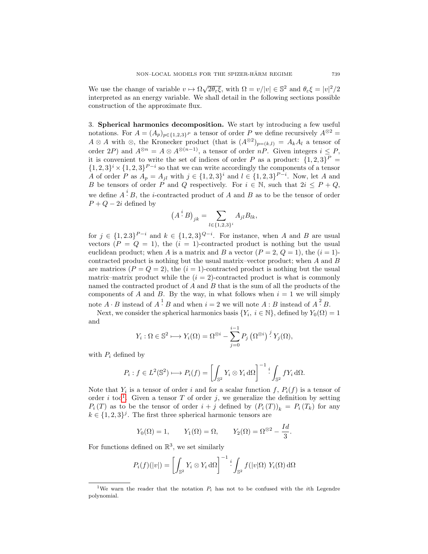We use the change of variable  $v \mapsto \Omega \sqrt{2\theta_{\varepsilon} \xi}$ , with  $\Omega = v/|v| \in \mathbb{S}^2$  and  $\theta_{\varepsilon} \xi = |v|^2/2$ interpreted as an energy variable. We shall detail in the following sections possible construction of the approximate flux.

<span id="page-4-0"></span>3. Spherical harmonics decomposition. We start by introducing a few useful notations. For  $A = (A_p)_{p \in \{1,2,3\}^P}$  a tensor of order P we define recursively  $A^{\otimes 2} =$  $A \otimes A$  with  $\otimes$ , the Kronecker product (that is  $(A^{\otimes 2})_{p=(k,l)} = A_k A_l$  a tensor of order 2P) and  $A^{\otimes n} = A \otimes A^{\otimes (n-1)}$ , a tensor of order nP. Given integers  $i \leq P$ , it is convenient to write the set of indices of order P as a product:  $\{1,2,3\}^P$  =  $\{1,2,3\}^{i} \times \{1,2,3\}^{P-i}$  so that we can write accordingly the components of a tensor A of order P as  $A_p = A_{jl}$  with  $j \in \{1, 2, 3\}^i$  and  $l \in \{1, 2, 3\}^{P-i}$ . Now, let A and B be tensors of order P and Q respectively. For  $i \in \mathbb{N}$ , such that  $2i \leq P + Q$ , we define  $A^i$ . B, the *i*-contracted product of A and B as to be the tensor of order  $P + Q - 2i$  defined by

$$
(A^i B)_{jk} = \sum_{l \in \{1,2,3\}^i} A_{jl} B_{lk},
$$

for  $j \in \{1,2.3\}^{P-i}$  and  $k \in \{1,2,3\}^{Q-i}$ . For instance, when A and B are usual vectors  $(P = Q = 1)$ , the  $(i = 1)$ -contracted product is nothing but the usual euclidean product; when A is a matrix and B a vector  $(P = 2, Q = 1)$ , the  $(i = 1)$ contracted product is nothing but the usual matrix–vector product; when A and B are matrices  $(P = Q = 2)$ , the  $(i = 1)$ -contracted product is nothing but the usual matrix–matrix product while the  $(i = 2)$ -contracted product is what is commonly named the contracted product of A and B that is the sum of all the products of the components of A and B. By the way, in what follows when  $i = 1$  we will simply note  $A \cdot B$  instead of  $A \cdot B$  and when  $i = 2$  we will note  $A : B$  instead of  $A \cdot B$ .

Next, we consider the spherical harmonics basis  $\{Y_i, i \in \mathbb{N}\},$  defined by  $Y_0(\Omega) = 1$ and

$$
Y_i: \Omega \in \mathbb{S}^2 \longmapsto Y_i(\Omega) = \Omega^{\otimes i} - \sum_{j=0}^{i-1} P_j \left( \Omega^{\otimes i} \right)^j Y_j(\Omega),
$$

with  $P_i$  defined by

$$
P_i: f \in L^2(\mathbb{S}^2) \longrightarrow P_i(f) = \left[ \int_{\mathbb{S}^2} Y_i \otimes Y_i d\Omega \right]^{-1} \cdot \int_{\mathbb{S}^2} f Y_i d\Omega.
$$

Note that  $Y_i$  is a tensor of order i and for a scalar function f,  $P_i(f)$  is a tensor of order i too<sup>[1](#page-4-1)</sup>. Given a tensor T of order j, we generalize the definition by setting  $P_i(T)$  as to be the tensor of order  $i + j$  defined by  $(P_i(T))_k = P_i(T_k)$  for any  $k \in \{1, 2, 3\}^j$ . The first three spherical harmonic tensors are

$$
Y_0(\Omega) = 1,
$$
  $Y_1(\Omega) = \Omega,$   $Y_2(\Omega) = \Omega^{\otimes 2} - \frac{Id}{3}.$ 

For functions defined on  $\mathbb{R}^3$ , we set similarly

$$
P_i(f)(|v|) = \left[ \int_{\mathbb{S}^2} Y_i \otimes Y_i d\Omega \right]^{-1} \cdot \int_{\mathbb{S}^2} f(|v|\Omega) Y_i(\Omega) d\Omega
$$

<span id="page-4-1"></span><sup>&</sup>lt;sup>1</sup>We warn the reader that the notation  $P_i$  has not to be confused with the *i*th Legendre polynomial.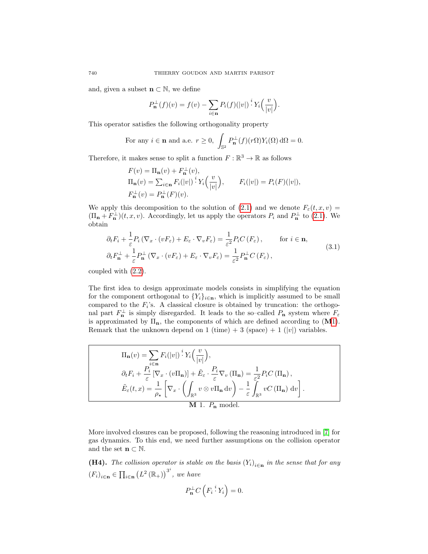and, given a subset  $\mathbf{n} \subset \mathbb{N}$ , we define

$$
P_{\mathbf{n}}^{\perp}(f)(v) = f(v) - \sum_{i \in \mathbf{n}} P_i(f)(|v|) \cdot Y_i\left(\frac{v}{|v|}\right).
$$

This operator satisfies the following orthogonality property

For any 
$$
i \in \mathbf{n}
$$
 and a.e.  $r \ge 0$ ,  $\int_{\mathbb{S}^2} P_{\mathbf{n}}^{\perp}(f)(r\Omega)Y_i(\Omega) d\Omega = 0$ .

Therefore, it makes sense to split a function  $F : \mathbb{R}^3 \to \mathbb{R}$  as follows

$$
F(v) = \Pi_{\mathbf{n}}(v) + F_{\mathbf{n}}^{\perp}(v),
$$
  
\n
$$
\Pi_{\mathbf{n}}(v) = \sum_{i \in \mathbf{n}} F_i(|v|) \, \Big|^i Y_i\Big(\frac{v}{|v|}\Big), \qquad F_i(|v|) = P_i(F)(|v|),
$$
  
\n
$$
F_{\mathbf{n}}^{\perp}(v) = P_{\mathbf{n}}^{\perp}(F)(v).
$$

We apply this decomposition to the solution of [\(2.1\)](#page-2-1) and we denote  $F_{\varepsilon}(t, x, v) =$  $(\Pi_{\mathbf{n}} + F_{\mathbf{n}}^{\perp})(t, x, v)$ . Accordingly, let us apply the operators  $P_i$  and  $P_{\mathbf{n}}^{\perp}$  to [\(2.1\)](#page-2-1). We obtain

<span id="page-5-1"></span>
$$
\partial_t F_i + \frac{1}{\varepsilon} P_i \left( \nabla_x \cdot (v F_\varepsilon) + E_\varepsilon \cdot \nabla_v F_\varepsilon \right) = \frac{1}{\varepsilon^2} P_i C \left( F_\varepsilon \right), \qquad \text{for } i \in \mathbf{n},
$$
  

$$
\partial_t F_\mathbf{n}^\perp + \frac{1}{\varepsilon} P_\mathbf{n}^\perp \left( \nabla_x \cdot (v F_\varepsilon) + E_\varepsilon \cdot \nabla_v F_\varepsilon \right) = \frac{1}{\varepsilon^2} P_\mathbf{n}^\perp C \left( F_\varepsilon \right), \tag{3.1}
$$

coupled with [\(2.2\)](#page-2-2).

The first idea to design approximate models consists in simplifying the equation for the component orthogonal to  ${Y_i}_{i \in \mathbf{n}}$ , which is implicitly assumed to be small compared to the  $F_i$ 's. A classical closure is obtained by truncation: the orthogonal part  $F_{\mathbf{n}}^{\perp}$  is simply disregarded. It leads to the so-called  $P_{\mathbf{n}}$  system where  $F_{\varepsilon}$ is approximated by  $\Pi_n$ , the components of which are defined according to  $(M1)$  $(M1)$ . Remark that the unknown depend on 1 (time) + 3 (space) + 1 (|v|) variables.

$$
\Pi_{\mathbf{n}}(v) = \sum_{i \in \mathbf{n}} F_i(|v|) \, \stackrel{i}{:} Y_i\left(\frac{v}{|v|}\right),
$$
\n
$$
\partial_t F_i + \frac{P_i}{\varepsilon} \left[\nabla_x \cdot (v \Pi_{\mathbf{n}})\right] + \tilde{E}_{\varepsilon} \cdot \frac{P_i}{\varepsilon} \nabla_v \left(\Pi_{\mathbf{n}}\right) = \frac{1}{\varepsilon^2} P_i C\left(\Pi_{\mathbf{n}}\right),
$$
\n
$$
\tilde{E}_{\varepsilon}(t, x) = \frac{1}{\rho_\star} \left[\nabla_x \cdot \left(\int_{\mathbb{R}^3} v \otimes v \Pi_{\mathbf{n}} \, dv\right) - \frac{1}{\varepsilon} \int_{\mathbb{R}^3} v C\left(\Pi_{\mathbf{n}}\right) \, dv\right].
$$
\nM 1.  $P_{\mathbf{n}}$  model.

More involved closures can be proposed, following the reasoning introduced in [\[7\]](#page-31-11) for gas dynamics. To this end, we need further assumptions on the collision operator and the set  $\mathbf{n} \subset \mathbb{N}$ .

<span id="page-5-2"></span>**(H4).** The collision operator is stable on the basis  $(Y_i)_{i \in \mathbf{n}}$  in the sense that for any  $(F_i)_{i \in \mathbf{n}} \in \prod_{i \in \mathbf{n}} (L^2(\mathbb{R}_+))^{3^i}$ , we have

<span id="page-5-0"></span>
$$
P_{\mathbf{n}}^{\perp}C\left(F_i\stackrel{i}{\cdot}Y_i\right)=0.
$$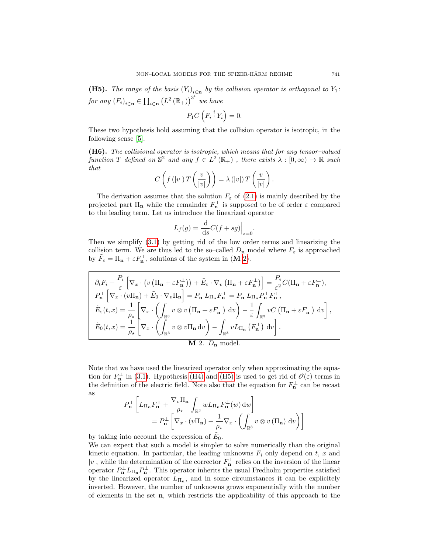<span id="page-6-1"></span>**(H5).** The range of the basis  $(Y_i)_{i \in \mathbf{n}}$  by the collision operator is orthogonal to  $Y_1$ : for any  $(F_i)_{i \in \mathbf{n}} \in \prod_{i \in \mathbf{n}} (L^2(\mathbb{R}_+))^{3^i}$  we have

$$
P_1C\left(F_i\stackrel{i}{\cdot} Y_i\right)=0.
$$

These two hypothesis hold assuming that the collision operator is isotropic, in the following sense [\[5\]](#page-31-12).

(H6). The collisional operator is isotropic, which means that for any tensor–valued function T defined on  $\mathbb{S}^2$  and any  $f \in L^2(\mathbb{R}_+)$ , there exists  $\lambda : [0, \infty) \to \mathbb{R}$  such that

$$
C\left(f\left(|v|\right)T\left(\frac{v}{|v|}\right)\right)=\lambda\left(|v|\right)T\left(\frac{v}{|v|}\right).
$$

The derivation assumes that the solution  $F_{\varepsilon}$  of [\(2.1\)](#page-2-1) is mainly described by the projected part  $\Pi_{\mathbf{n}}$  while the remainder  $F_{\mathbf{n}}^{\perp}$  is supposed to be of order  $\varepsilon$  compared to the leading term. Let us introduce the linearized operator

$$
L_f(g) = \frac{\mathrm{d}}{\mathrm{d}s}C(f + sg)\Big|_{s=0}.
$$

Then we simplify [\(3.1\)](#page-5-1) by getting rid of the low order terms and linearizing the collision term. We are thus led to the so–called  $D_n$  model where  $F_\varepsilon$  is approached by  $\tilde{F}_{\varepsilon} = \Pi_{\mathbf{n}} + \varepsilon F_{\mathbf{n}}^{\perp}$ , solutions of the system in  $(\mathbf{M} 2)$  $(\mathbf{M} 2)$ .

$$
\partial_t F_i + \frac{P_i}{\varepsilon} \left[ \nabla_x \cdot \left( v \left( \Pi_{\mathbf{n}} + \varepsilon F_{\mathbf{n}}^{\perp} \right) \right) + \tilde{E}_{\varepsilon} \cdot \nabla_v \left( \Pi_{\mathbf{n}} + \varepsilon F_{\mathbf{n}}^{\perp} \right) \right] = \frac{P_i}{\varepsilon^2} C(\Pi_{\mathbf{n}} + \varepsilon F_{\mathbf{n}}^{\perp}),
$$
\n
$$
P_{\mathbf{n}}^{\perp} \left[ \nabla_x \cdot \left( v \Pi_{\mathbf{n}} \right) + \tilde{E}_0 \cdot \nabla_v \Pi_{\mathbf{n}} \right] = P_{\mathbf{n}}^{\perp} L_{\Pi_{\mathbf{n}}} F_{\mathbf{n}}^{\perp} = P_{\mathbf{n}}^{\perp} L_{\Pi_{\mathbf{n}}} P_{\mathbf{n}}^{\perp} F_{\mathbf{n}}^{\perp},
$$
\n
$$
\tilde{E}_{\varepsilon}(t, x) = \frac{1}{\rho_{\star}} \left[ \nabla_x \cdot \left( \int_{\mathbb{R}^3} v \otimes v \left( \Pi_{\mathbf{n}} + \varepsilon F_{\mathbf{n}}^{\perp} \right) dv \right) - \frac{1}{\varepsilon} \int_{\mathbb{R}^3} v C \left( \Pi_{\mathbf{n}} + \varepsilon F_{\mathbf{n}}^{\perp} \right) dv \right],
$$
\n
$$
\tilde{E}_0(t, x) = \frac{1}{\rho_{\star}} \left[ \nabla_x \cdot \left( \int_{\mathbb{R}^3} v \otimes v \Pi_{\mathbf{n}} dv \right) - \int_{\mathbb{R}^3} v L_{\Pi_{\mathbf{n}}} \left( F_{\mathbf{n}}^{\perp} \right) dv \right].
$$
\nM 2.  $D_{\mathbf{n}}$  model.

Note that we have used the linearized operator only when approximating the equation for  $F_{\mathbf{n}}^{\perp}$  in [\(3.1\)](#page-5-1). Hypothesis [\(H4\)](#page-5-2) and [\(H5\)](#page-6-1) is used to get rid of  $\mathcal{O}(\varepsilon)$  terms in the definition of the electric field. Note also that the equation for  $F_{\mathbf{n}}^{\perp}$  can be recast as

<span id="page-6-0"></span>
$$
P_{\mathbf{n}}^{\perp} \left[ L_{\Pi_{\mathbf{n}}} F_{\mathbf{n}}^{\perp} + \frac{\nabla_{v} \Pi_{\mathbf{n}}}{\rho_{\star}} \int_{\mathbb{R}^{3}} w L_{\Pi_{\mathbf{n}}} F_{\mathbf{n}}^{\perp}(w) dw \right]
$$
  
=  $P_{\mathbf{n}}^{\perp} \left[ \nabla_{x} \cdot (v \Pi_{\mathbf{n}}) - \frac{1}{\rho_{\star}} \nabla_{x} \cdot \left( \int_{\mathbb{R}^{3}} v \otimes v (\Pi_{\mathbf{n}}) dv \right) \right]$ 

by taking into account the expression of  $\tilde{E}_0$ .

We can expect that such a model is simpler to solve numerically than the original kinetic equation. In particular, the leading unknowns  $F_i$  only depend on  $t, x$  and |v|, while the determination of the corrector  $F_{\mathbf{n}}^{\perp}$  relies on the inversion of the linear operator  $P_{\mathbf{n}}^{\perp} L_{\Pi_{\mathbf{n}}} P_{\mathbf{n}}^{\perp}$ . This operator inherits the usual Fredholm properties satisfied by the linearized operator  $L_{\Pi_n}$ , and in some circumstances it can be explicitely inverted. However, the number of unknowns grows exponentially with the number of elements in the set  $n$ , which restricts the applicability of this approach to the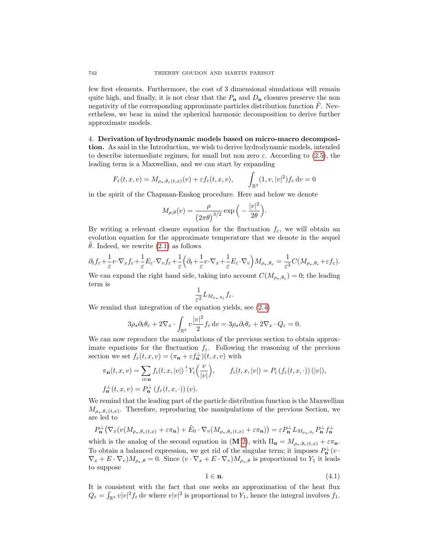few first elements. Furthermore, the cost of 3 dimensional simulations will remain quite high, and finally, it is not clear that the  $P_n$  and  $D_n$  closures preserve the non negativity of the corresponding approximate particles distribution function  $\ddot{F}$ . Nevertheless, we bear in mind the spherical harmonic decomposition to derive further approximate models.

<span id="page-7-0"></span>4. Derivation of hydrodynamic models based on micro-macro decomposition. As said in the Introduction, we wish to derive hydrodynamic models, intended to describe intermediate regimes, for small but non zero  $\varepsilon$ . According to [\(2.5\)](#page-3-1), the leading term is a Maxwellian, and we can start by expanding

$$
F_{\varepsilon}(t,x,v) = M_{\rho_{\star},\theta_{\varepsilon}(t,x)}(v) + \varepsilon f_{\varepsilon}(t,x,v), \qquad \int_{\mathbb{R}^3} (1,v,|v|^2) f_{\varepsilon} dv = 0
$$

in the spirit of the Chapman-Enskog procedure. Here and below we denote

$$
M_{\rho,\theta}(v)=\frac{\rho}{\left(2\pi\theta\right)^{3/2}}\exp\Big(-\frac{|v|^2}{2\theta}\Big).
$$

By writing a relevant closure equation for the fluctuation  $f_{\varepsilon}$ , we will obtain an evolution equation for the approximate temperature that we denote in the sequel  $\theta$ . Indeed, we rewrite [\(2.1\)](#page-2-1) as follows

$$
\partial_t f_{\varepsilon} + \frac{1}{\varepsilon} v \cdot \nabla_x f_{\varepsilon} + \frac{1}{\varepsilon} E_{\varepsilon} \cdot \nabla_v f_{\varepsilon} + \frac{1}{\varepsilon} \Big( \partial_t + \frac{1}{\varepsilon} v \cdot \nabla_x + \frac{1}{\varepsilon} E_{\varepsilon} \cdot \nabla_v \Big) M_{\rho_{\star}, \theta_{\varepsilon}} = \frac{1}{\varepsilon^3} C(M_{\rho_{\star}, \theta_{\varepsilon}} + \varepsilon f_{\varepsilon}).
$$

We can expand the right hand side, taking into account  $C(M_{\rho_\star,\theta_\varepsilon}) = 0$ ; the leading term is

$$
\frac{1}{\varepsilon^2} L_{M_{\rho_\star,\theta_\varepsilon}} f_\varepsilon.
$$

We remind that integration of the equation yields, see [\(2.4\)](#page-3-2)

$$
3\rho_{\star}\partial_t\theta_{\varepsilon} + 2\nabla_x \cdot \int_{\mathbb{R}^3} v \frac{|v|^2}{2} f_{\varepsilon} dv = 3\rho_{\star}\partial_t\theta_{\varepsilon} + 2\nabla_x \cdot Q_{\varepsilon} = 0.
$$

We can now reproduce the manipulations of the previous section to obtain approximate equations for the fluctuation  $f_{\varepsilon}$ . Following the reasoning of the previous section we set  $f_{\varepsilon}(t, x, v) = (\pi_{\mathbf{n}} + \varepsilon f_{\mathbf{n}}^{\perp})(t, x, v)$  with

$$
\pi_{\mathbf{n}}(t, x, v) = \sum_{i \in \mathbf{n}} f_i(t, x, |v|) \, \stackrel{i}{:} Y_i\left(\frac{v}{|v|}\right), \qquad f_i(t, x, |v|) = P_i\left(f_{\varepsilon}(t, x, \cdot)\right)(|v|),
$$
  

$$
f_{\mathbf{n}}^{\perp}(t, x, v) = P_{\mathbf{n}}^{\perp}\left(f_{\varepsilon}(t, x, \cdot)\right)(v).
$$

We remind that the leading part of the particle distribution function is the Maxwellian  $M_{\rho_\star,\theta_\varepsilon(t,x)}$ . Therefore, reproducing the manipulations of the previous Section, we are led to

$$
P_{\mathbf{n}}^{\perp} \left( \nabla_x (v(M_{\rho_\star,\theta_\varepsilon(t,x)} + \varepsilon \pi_{\mathbf{n}}) + \tilde{E}_0 \cdot \nabla_v (M_{\rho_\star,\theta_\varepsilon(t,x)} + \varepsilon \pi_{\mathbf{n}}) \right) = \varepsilon P_{\mathbf{n}}^{\perp} L_{M_{\rho_\star,\theta_\varepsilon}} P_{\mathbf{n}}^{\perp} f_{\mathbf{n}}^{\perp}
$$

which is the analog of the second equation in (M [2\)](#page-6-0), with  $\Pi_{\mathbf{n}} = M_{\rho_{\star},\theta_{\varepsilon}(t,x)} + \varepsilon \pi_{\mathbf{n}}$ . To obtain a balanced expression, we get rid of the singular term; it imposes  $P_{\mathbf{n}}^{\perp}(v \cdot$  $\nabla_x + E \cdot \nabla_v M_{\rho_\star, \theta} = 0$ . Since  $(v \cdot \nabla_x + E \cdot \nabla_v) M_{\rho_\star, \theta}$  is proportional to  $Y_1$  it leads to suppose

<span id="page-7-1"></span>
$$
1 \in \mathbf{n}.\tag{4.1}
$$

It is consistent with the fact that one seeks an approximation of the heat flux  $Q_{\varepsilon} = \int_{\mathbb{R}^3} v|v|^2 f_{\varepsilon} dv$  where  $v|v|^2$  is proportional to  $Y_1$ , hence the integral involves  $f_1$ .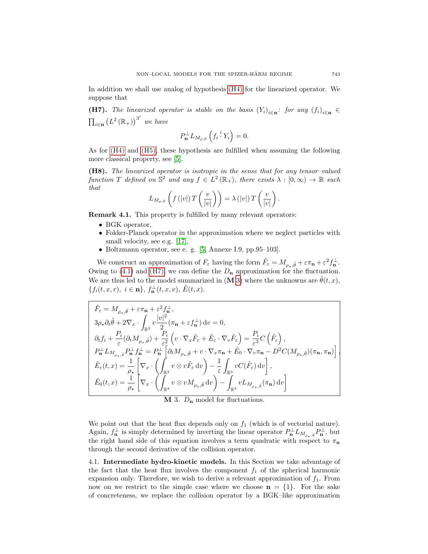In addition we shall use analog of hypothesis [\(H4\)](#page-5-2) for the linearized operator. We suppose that

<span id="page-8-0"></span>**(H7).** The linearized operator is stable on the basis  $(Y_i)_{i \in \mathbf{n}}$ : for any  $(f_i)_{i \in \mathbf{n}}$  $\prod_{i\in\mathbf{n}}(L^2(\mathbb{R}_+))^{3^i}$  we have

$$
P_{\mathbf{n}}^{\perp} L_{M_{\rho,\theta}}\left(f_i\stackrel{i}{\cdot} Y_i\right) = 0.
$$

As for [\(H4\)](#page-5-2) and [\(H5\),](#page-6-1) these hypothesis are fulfilled when assuming the following more classical property, see [\[5\]](#page-31-12).

<span id="page-8-2"></span>(H8). The linearized operator is isotropic in the sense that for any tensor–valued function T defined on  $\mathbb{S}^2$  and any  $f \in L^2(\mathbb{R}_+),$  there exists  $\lambda : [0, \infty) \to \mathbb{R}$  such that

$$
L_{M_{\rho,\theta}}\left(f\left(|v|\right)T\left(\frac{v}{|v|}\right)\right)=\lambda\left(|v|\right)T\left(\frac{v}{|v|}\right).
$$

Remark 4.1. This property is fulfilled by many relevant operators:

- BGK operator,
- Fokker-Planck operator in the approximation where we neglect particles with small velocity, see e.g. [\[17\]](#page-31-13),
- Boltzmann operator, see e. g. [\[5,](#page-31-12) Annexe I.9, pp.95–103].

We construct an approximation of  $F_{\varepsilon}$  having the form  $\tilde{F}_{\varepsilon} = M_{\rho_{\star}, \tilde{\theta}} + \varepsilon \pi_{\mathbf{n}} + \varepsilon^2 f_{\mathbf{n}}^{\perp}$ . Owing to [\(4.1\)](#page-7-1) and [\(H7\),](#page-8-0) we can define the  $D_n$  approximation for the fluctuation. We are thus led to the model summarized in  $(M 3)$  $(M 3)$  where the unknowns are  $\hat{\theta}(t, x)$ ,  ${f_i(t, x, r), i \in \mathbf{n}, f_{\mathbf{n}}^{\perp}(t, x, v), \tilde{E}(t, x).}$ 

$$
\begin{aligned} \tilde{F}_\varepsilon&=M_{\rho_\star,\tilde{\theta}}+\varepsilon\pi_\mathbf{n}+\varepsilon^2f_\mathbf{n}^\perp,\\ 3\rho_\star\partial_t\tilde{\theta}+2\nabla_x\cdot\int_{\mathbb{R}^3}v\frac{|v|^2}{2}(\pi_\mathbf{n}+\varepsilon f_\mathbf{n}^\perp)\,\mathrm{d}v=0,\\ \partial_t f_i&+\frac{P_i}{\varepsilon}(\partial_t M_{\rho_\star,\tilde{\theta}})+\frac{P_i}{\varepsilon^2}\left(v\cdot\nabla_x\tilde{F}_\varepsilon+\tilde{E}_\varepsilon\cdot\nabla_v\tilde{F}_\varepsilon\right)=\frac{P_i}{\varepsilon^3}C\left(\tilde{F}_\varepsilon\right),\\ P_\mathbf{n}^\perp L_{M_{\rho_\star,\tilde{\theta}}}P_\mathbf{n}^\perp f_\mathbf{n}^\perp&=P_\mathbf{n}^\perp\left[\partial_t M_{\rho_\star,\tilde{\theta}}+v\cdot\nabla_x\pi_\mathbf{n}+\tilde{E}_0\cdot\nabla_v\pi_\mathbf{n}-D^2C(M_{\rho_\star,\tilde{\theta}})(\pi_\mathbf{n},\pi_\mathbf{n})\right]\\ \tilde{E}_\varepsilon(t,x)&=\frac{1}{\rho_\star}\left[\nabla_x\cdot\left(\int_{\mathbb{R}^3}v\otimes v\tilde{F}_\varepsilon\,\mathrm{d}v\right)-\frac{1}{\varepsilon}\int_{\mathbb{R}^3}vC(\tilde{F}_\varepsilon)\,\mathrm{d}v\right],\\ \tilde{E}_0(t,x)&=\frac{1}{\rho_\star}\left[\nabla_x\cdot\left(\int_{\mathbb{R}^3}v\otimes vM_{\rho_\star,\tilde{\theta}}\,\mathrm{d}v\right)-\int_{\mathbb{R}^3}vL_{M_{\rho_\star,\tilde{\theta}}}(\pi_\mathbf{n})\,\mathrm{d}v\right] \end{aligned}
$$

<span id="page-8-1"></span> $M$  3.  $D_n$  model for fluctuations.

We point out that the heat flux depends only on  $f_1$  (which is of vectorial nature). Again,  $f_{\mathbf{n}}^{\perp}$  is simply determined by inverting the linear operator  $P_{\mathbf{n}}^{\perp}L_{M_{\rho_{\star},\tilde{\theta}}}P_{\mathbf{n}}^{\perp}$ , but the right hand side of this equation involves a term quadratic with respect to  $\pi_{\bf n}$ through the second derivative of the collision operator.

4.1. Intermediate hydro-kinetic models. In this Section we take advantage of the fact that the heat flux involves the component  $f_1$  of the spherical harmonic expansion only. Therefore, we wish to derive a relevant approximation of  $f_1$ . From now on we restrict to the simple case where we choose  $\mathbf{n} = \{1\}$ . For the sake of concreteness, we replace the collision operator by a BGK–like approximation

,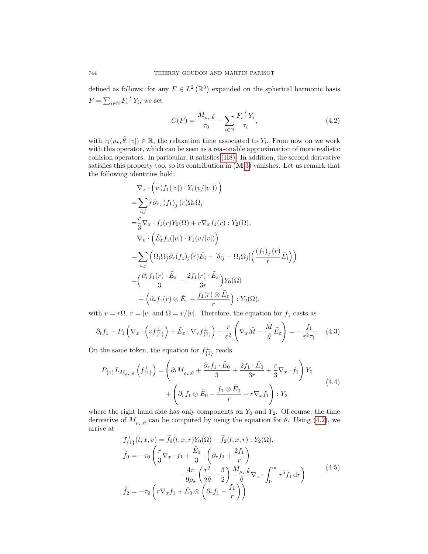defined as follows: for any  $F \in L^2(\mathbb{R}^3)$  expanded on the spherical harmonic basis  $F = \sum_{i \in \mathbb{N}} F_i \cdot Y_i$ , we set

<span id="page-9-0"></span>
$$
C(F) = \frac{M_{\rho_{\star}, \tilde{\theta}}}{\tau_0} - \sum_{i \in \mathbb{N}} \frac{F_i^{\ i} Y_i}{\tau_i},\tag{4.2}
$$

with  $\tau_i(\rho_\star, \tilde{\theta}, |v|) \in \mathbb{R}$ , the relaxation time associated to  $Y_i$ . From now on we work with this operator, which can be seen as a reasonable approximation of more realistic collision operators. In particular, it satisfies [\(H8\).](#page-8-2) In addition, the second derivative satisfies this property too, so its contribution in  $(M 3)$  $(M 3)$  vanishes. Let us remark that the following identities hold:

$$
\nabla_x \cdot \left( v \left( f_1(|v|) \cdot Y_1(v/|v|) \right) \right)
$$
\n
$$
= \sum_{i,j} r \partial_{x_i} \left( f_1 \right)_j (r) \Omega_i \Omega_j
$$
\n
$$
= \frac{r}{3} \nabla_x \cdot f_1(r) Y_0(\Omega) + r \nabla_x f_1(r) : Y_2(\Omega),
$$
\n
$$
\nabla_v \cdot \left( \tilde{E}_{\varepsilon} f_1(|v|) \cdot Y_1(v/|v|) \right)
$$
\n
$$
= \sum_{i,j} \left( \Omega_i \Omega_j \partial_r (f_1)_j (r) \tilde{E}_i + [\delta_{ij} - \Omega_i \Omega_j] \left( \frac{(f_1)_j (r)}{r} \tilde{E}_i \right) \right)
$$
\n
$$
= \left( \frac{\partial_r f_1(r) \cdot \tilde{E}_{\varepsilon}}{3} + \frac{2f_1(r) \cdot \tilde{E}_{\varepsilon}}{3r} \right) Y_0(\Omega)
$$
\n
$$
+ \left( \partial_r f_1(r) \otimes \tilde{E}_{\varepsilon} - \frac{f_1(r) \otimes \tilde{E}_{\varepsilon}}{r} \right) : Y_2(\Omega),
$$

with  $v = r\Omega$ ,  $r = |v|$  and  $\Omega = v/|v|$ . Therefore, the equation for  $f_1$  casts as

<span id="page-9-2"></span>
$$
\partial_t f_1 + P_1 \left( \nabla_x \cdot \left( v f_{\{1\}}^\perp \right) + \tilde{E}_\varepsilon \cdot \nabla_v f_{\{1\}}^\perp \right) + \frac{r}{\varepsilon^2} \left( \nabla_x \tilde{M} - \frac{\tilde{M}}{\tilde{\theta}} \tilde{E}_\varepsilon \right) = -\frac{f_1}{\varepsilon^2 \tau_1} . \tag{4.3}
$$

On the same token, the equation for  $f_{\{1\}}^{\perp}$  reads

$$
P_{\{1\}}^{\perp} L_{M_{\rho_{\star},\tilde{\theta}}} \left( f_{\{1\}}^{\perp} \right) = \left( \partial_t M_{\rho_{\star},\tilde{\theta}} + \frac{\partial_r f_1 \cdot \tilde{E}_0}{3} + \frac{2f_1 \cdot \tilde{E}_0}{3r} + \frac{r}{3} \nabla_x \cdot f_1 \right) Y_0
$$
  
+ 
$$
\left( \partial_r f_1 \otimes \tilde{E}_0 - \frac{f_1 \otimes \tilde{E}_0}{r} + r \nabla_x f_1 \right) : Y_2
$$
 (4.4)

where the right hand side has only components on  $Y_0$  and  $Y_2$ . Of course, the time derivative of  $M_{\rho_{\star},\tilde{\theta}}$  can be computed by using the equation for  $\tilde{\theta}$ . Using [\(4.2\)](#page-9-0), we arrive at

<span id="page-9-1"></span>
$$
f_{\{1\}}^{\perp}(t, x, v) = \tilde{f}_0(t, x, r)Y_0(\Omega) + \tilde{f}_2(t, x, r) : Y_2(\Omega),
$$
  
\n
$$
\tilde{f}_0 = -\tau_0 \left(\frac{r}{3}\nabla_x \cdot f_1 + \frac{\tilde{E}_0}{3} \cdot \left(\partial_r f_1 + \frac{2f_1}{r}\right) - \frac{4\pi}{9\rho_\star} \left(\frac{r^2}{2\tilde{\theta}} - \frac{3}{2}\right) \frac{M_{\rho_\star,\tilde{\theta}}}{\tilde{\theta}} \nabla_x \cdot \int_0^\infty r^5 f_1 dr\right)
$$
\n
$$
\tilde{f}_2 = -\tau_2 \left(r\nabla_x f_1 + \tilde{E}_0 \otimes \left(\partial_r f_1 - \frac{f_1}{r}\right)\right)
$$
\n(4.5)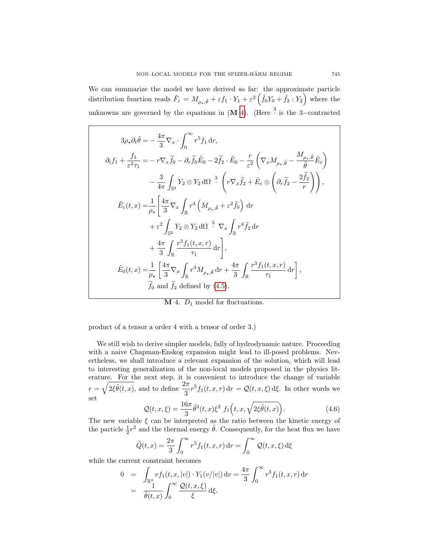We can summarize the model we have derived so far: the approximate particle distribution function reads  $\tilde{F}_{\varepsilon} = M_{\rho_{\star}, \tilde{\theta}} + \varepsilon f_1 \cdot Y_1 + \varepsilon^2 \left( \tilde{f}_0 Y_0 + \tilde{f}_2 : Y_2 \right)$  where the unknowns are governed by the equations in  $(M 4)$  $(M 4)$ . (Here  $\frac{3}{4}$  is the 3-contracted

$$
3\rho_{\star}\partial_{t}\tilde{\theta} = -\frac{4\pi}{3}\nabla_{x} \cdot \int_{0}^{\infty} r^{5}f_{1} dr,
$$
  
\n
$$
\partial_{t}f_{1} + \frac{f_{1}}{\varepsilon^{2}\tau_{1}} = -r\nabla_{x}\tilde{f}_{0} - \partial_{r}\tilde{f}_{0}\tilde{E}_{0} - 2\tilde{f}_{2} \cdot \tilde{E}_{0} - \frac{r}{\varepsilon^{2}}\left(\nabla_{x}M_{\rho_{\star},\tilde{\theta}} - \frac{M_{\rho_{\star},\tilde{\theta}}}{\tilde{\theta}}\tilde{E}_{\varepsilon}\right)
$$
  
\n
$$
-\frac{3}{4\pi}\int_{\mathbb{S}^{2}} Y_{2} \otimes Y_{2} d\Omega \stackrel{3}{\cdot} \left(r\nabla_{x}\tilde{f}_{2} + \tilde{E}_{\varepsilon} \otimes \left(\partial_{r}\tilde{f}_{2} - \frac{2\tilde{f}_{2}}{r}\right)\right),
$$
  
\n
$$
\tilde{E}_{\varepsilon}(t,x) = \frac{1}{\rho_{\star}} \left[\frac{4\pi}{3}\nabla_{x}\int_{\mathbb{R}} r^{4}\left(M_{\rho_{\star},\tilde{\theta}} + \varepsilon^{2}\tilde{f}_{0}\right) dr + \varepsilon^{2}\int_{\mathbb{S}^{2}} Y_{2} \otimes Y_{2} d\Omega \stackrel{3}{\cdot} \nabla_{x}\int_{\mathbb{R}} r^{4}\tilde{f}_{2} dr + \frac{4\pi}{3}\int_{\mathbb{R}} \frac{r^{3}f_{1}(t,x,r)}{\tau_{1}} dr\right],
$$
  
\n
$$
\tilde{E}_{0}(t,x) = \frac{1}{\rho_{\star}} \left[\frac{4\pi}{3}\nabla_{x}\int_{\mathbb{R}} r^{4}M_{\rho_{\star},\tilde{\theta}} dr + \frac{4\pi}{3}\int_{\mathbb{R}} \frac{r^{3}f_{1}(t,x,r)}{\tau_{1}} dr\right],
$$
  
\n
$$
\tilde{f}_{0} \text{ and } \tilde{f}_{2} \text{ defined by (4.5)}.
$$

<span id="page-10-0"></span> $\mathbf{M}$  4.  $D_1$  model for fluctuations.

product of a tensor a order 4 with a tensor of order 3.)

We still wish to derive simpler models, fully of hydrodynamic nature. Proceeding with a naive Chapman-Enskog expansion might lead to ill-posed problems. Nevertheless, we shall introduce a relevant expansion of the solution, which will lead to interesting generalization of the non-local models proposed in the physics literature. For the next step, it is convenient to introduce the change of variable  $r = \sqrt{2\xi\tilde{\theta}(t,x)}$ , and to define  $\frac{2\pi}{3}r^5f_1(t,x,r) dr = \mathcal{Q}(t,x,\xi) d\xi$ . In other words we set

<span id="page-10-1"></span>
$$
\mathcal{Q}(t,x,\xi) = \frac{16\pi}{3}\tilde{\theta}^3(t,x)\xi^2 f_1\Big(t,x,\sqrt{2\xi\tilde{\theta}(t,x)}\Big). \tag{4.6}
$$

The new variable  $\xi$  can be interpreted as the ratio between the kinetic energy of the particle  $\frac{1}{2}r^2$  and the thermal energy  $\tilde{\theta}$ . Consequently, for the heat flux we have

$$
\tilde{Q}(t,x) = \frac{2\pi}{3} \int_0^\infty r^5 f_1(t,x,r) dr = \int_0^\infty Q(t,x,\xi) d\xi
$$

while the current constraint becomes

$$
0 = \int_{\mathbb{R}^3} v f_1(t, x, |v|) \cdot Y_1(v/|v|) dv = \frac{4\pi}{3} \int_0^\infty r^3 f_1(t, x, r) dr
$$
  
= 
$$
\frac{1}{\tilde{\theta}(t, x)} \int_0^\infty \frac{\mathcal{Q}(t, x, \xi)}{\xi} d\xi.
$$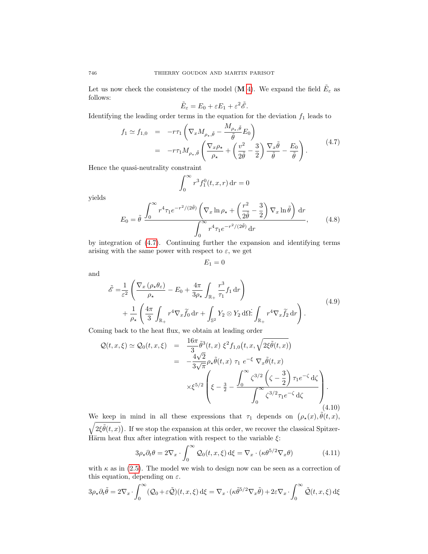Let us now check the consistency of the model (M [4\)](#page-10-0). We expand the field  $\tilde{E}_{\varepsilon}$  as follows:

$$
\tilde{E}_{\varepsilon}=E_0+\varepsilon E_1+\varepsilon^2\tilde{\mathscr{E}}.
$$

Identifying the leading order terms in the equation for the deviation  $f_1$  leads to

<span id="page-11-0"></span>
$$
f_1 \simeq f_{1,0} = -r\tau_1 \left( \nabla_x M_{\rho_\star, \tilde{\theta}} - \frac{M_{\rho_\star, \tilde{\theta}}}{\tilde{\theta}} E_0 \right)
$$
  
= 
$$
-r\tau_1 M_{\rho_\star, \tilde{\theta}} \left( \frac{\nabla_x \rho_\star}{\rho_\star} + \left( \frac{v^2}{2\tilde{\theta}} - \frac{3}{2} \right) \frac{\nabla_x \tilde{\theta}}{\tilde{\theta}} - \frac{E_0}{\tilde{\theta}} \right).
$$
 (4.7)

Hence the quasi-neutrality constraint

$$
\int_0^\infty r^3 f_1^0(t, x, r) dr = 0
$$

yields

<span id="page-11-1"></span>
$$
E_0 = \tilde{\theta} \frac{\int_0^\infty r^4 \tau_1 e^{-r^2/(2\tilde{\theta})} \left( \nabla_x \ln \rho_\star + \left( \frac{r^2}{2\tilde{\theta}} - \frac{3}{2} \right) \nabla_x \ln \tilde{\theta} \right) dr}{\int_0^\infty r^4 \tau_1 e^{-r^2/(2\tilde{\theta})} dr}, \qquad (4.8)
$$

by integration of [\(4.7\)](#page-11-0). Continuing further the expansion and identifying terms arising with the same power with respect to  $\varepsilon$ , we get

$$
E_1=0
$$

and

$$
\tilde{\mathcal{E}} = \frac{1}{\varepsilon^2} \left( \frac{\nabla_x \left( \rho_\star \theta_\varepsilon \right)}{\rho_\star} - E_0 + \frac{4\pi}{3\rho_\star} \int_{\mathbb{R}_+} \frac{r^3}{\tau_1} f_1 \, dr \right) \n+ \frac{1}{\rho_\star} \left( \frac{4\pi}{3} \int_{\mathbb{R}_+} r^4 \nabla_x \tilde{f}_0 \, dr + \int_{\mathbb{S}^2} Y_2 \otimes Y_2 \, d\Omega \, d\Omega \, d\Omega \right)_{\mathbb{R}_+} r^4 \nabla_x \tilde{f}_2 \, dr \right).
$$
\n(4.9)

Coming back to the heat flux, we obtain at leading order

<span id="page-11-3"></span>
$$
\mathcal{Q}(t, x, \xi) \simeq \mathcal{Q}_0(t, x, \xi) = \frac{16\pi}{3} \tilde{\theta}^3(t, x) \xi^2 f_{1,0}(t, x, \sqrt{2\xi\tilde{\theta}(t, x)}) \n= -\frac{4\sqrt{2}}{3\sqrt{\pi}} \rho_\star \tilde{\theta}(t, x) \tau_1 e^{-\xi} \nabla_x \tilde{\theta}(t, x) \n\times \xi^{5/2} \left( \xi - \frac{3}{2} - \frac{\int_0^\infty \zeta^{3/2} \left( \zeta - \frac{3}{2} \right) \tau_1 e^{-\zeta} d\zeta}{\int_0^\infty \zeta^{3/2} \tau_1 e^{-\zeta} d\zeta} \right).
$$
\n(4.10)

We keep in mind in all these expressions that  $\tau_1$  depends on  $(\rho_*(x), \tilde{\theta}(t, x))$ ,  $\sqrt{2\xi\tilde{\theta}(t,x)}$ . If we stop the expansion at this order, we recover the classical Spitzer-Härm heat flux after integration with respect to the variable  $\xi$ :

<span id="page-11-2"></span>
$$
3\rho_{\star}\partial_{t}\theta = 2\nabla_{x} \cdot \int_{0}^{\infty} \mathcal{Q}_{0}(t,x,\xi) d\xi = \nabla_{x} \cdot (\kappa \theta^{5/2} \nabla_{x}\theta)
$$
(4.11)

with  $\kappa$  as in [\(2.5\)](#page-3-1). The model we wish to design now can be seen as a correction of this equation, depending on  $\varepsilon$ .

$$
3\rho_{\star}\partial_t\tilde{\theta} = 2\nabla_x \cdot \int_0^{\infty} (\mathcal{Q}_0 + \varepsilon \tilde{\mathcal{Q}})(t, x, \xi) d\xi = \nabla_x \cdot (\kappa \tilde{\theta}^{5/2} \nabla_x \tilde{\theta}) + 2\varepsilon \nabla_x \cdot \int_0^{\infty} \tilde{\mathcal{Q}}(t, x, \xi) d\xi
$$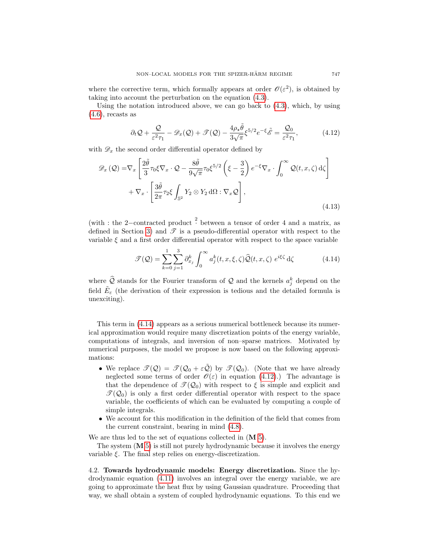where the corrective term, which formally appears at order  $\mathcal{O}(\varepsilon^2)$ , is obtained by taking into account the perturbation on the equation [\(4.3\)](#page-9-2).

Using the notation introduced above, we can go back to [\(4.3\)](#page-9-2), which, by using  $(4.6)$ , recasts as

<span id="page-12-1"></span>
$$
\partial_t \mathcal{Q} + \frac{\mathcal{Q}}{\varepsilon^2 \tau_1} - \mathcal{D}_x(\mathcal{Q}) + \mathcal{F}(\mathcal{Q}) - \frac{4\rho_\star \tilde{\theta}}{3\sqrt{\pi}} \xi^{5/2} e^{-\xi} \tilde{\mathcal{E}} = \frac{\mathcal{Q}_0}{\varepsilon^2 \tau_1},\tag{4.12}
$$

with  $\mathscr{D}_x$  the second order differential operator defined by

<span id="page-12-2"></span>
$$
\mathcal{D}_x(\mathcal{Q}) = \nabla_x \left[ \frac{2\tilde{\theta}}{3} \tau_0 \xi \nabla_x \cdot \mathcal{Q} - \frac{8\tilde{\theta}}{9\sqrt{\pi}} \tau_0 \xi^{5/2} \left( \xi - \frac{3}{2} \right) e^{-\xi} \nabla_x \cdot \int_0^\infty \mathcal{Q}(t, x, \zeta) d\zeta \right] + \nabla_x \cdot \left[ \frac{3\tilde{\theta}}{2\pi} \tau_2 \xi \int_{\mathbb{S}^2} Y_2 \otimes Y_2 d\Omega : \nabla_x \mathcal{Q} \right],
$$
\n(4.13)

(with : the 2-contracted product  $\frac{2}{3}$  between a tensor of order 4 and a matrix, as defined in Section [3\)](#page-4-0) and  $\mathscr T$  is a pseudo-differential operator with respect to the variable  $\xi$  and a first order differential operator with respect to the space variable

<span id="page-12-0"></span>
$$
\mathcal{F}(\mathcal{Q}) = \sum_{k=0}^{1} \sum_{j=1}^{3} \partial_{x_j}^k \int_0^\infty a_j^k(t, x, \xi, \zeta) \widehat{\mathcal{Q}}(t, x, \zeta) e^{i\xi\zeta} d\zeta
$$
 (4.14)

where  $\hat{Q}$  stands for the Fourier transform of  $Q$  and the kernels  $a_j^k$  depend on the field  $\tilde{E}_{\varepsilon}$  (the derivation of their expression is tedious and the detailed formula is unexciting).

This term in [\(4.14\)](#page-12-0) appears as a serious numerical bottleneck because its numerical approximation would require many discretization points of the energy variable, computations of integrals, and inversion of non–sparse matrices. Motivated by numerical purposes, the model we propose is now based on the following approximations:

- We replace  $\mathcal{T}(\mathcal{Q}) = \mathcal{T}(\mathcal{Q}_0 + \varepsilon \tilde{\mathcal{Q}})$  by  $\mathcal{T}(\mathcal{Q}_0)$ . (Note that we have already neglected some terms of order  $\mathcal{O}(\varepsilon)$  in equation [\(4.12\)](#page-12-1).) The advantage is that the dependence of  $\mathcal{T}(\mathcal{Q}_0)$  with respect to  $\xi$  is simple and explicit and  $\mathcal{T}(\mathcal{Q}_0)$  is only a first order differential operator with respect to the space variable, the coefficients of which can be evaluated by computing a couple of simple integrals.
- We account for this modification in the definition of the field that comes from the current constraint, bearing in mind [\(4.8\)](#page-11-1).

We are thus led to the set of equations collected in  $(M 5)$  $(M 5)$ .

The system  $(M 5)$  $(M 5)$  is still not purely hydrodynamic because it involves the energy variable  $\xi$ . The final step relies on energy-discretization.

4.2. Towards hydrodynamic models: Energy discretization. Since the hydrodynamic equation [\(4.11\)](#page-11-2) involves an integral over the energy variable, we are going to approximate the heat flux by using Gaussian quadrature. Proceeding that way, we shall obtain a system of coupled hydrodynamic equations. To this end we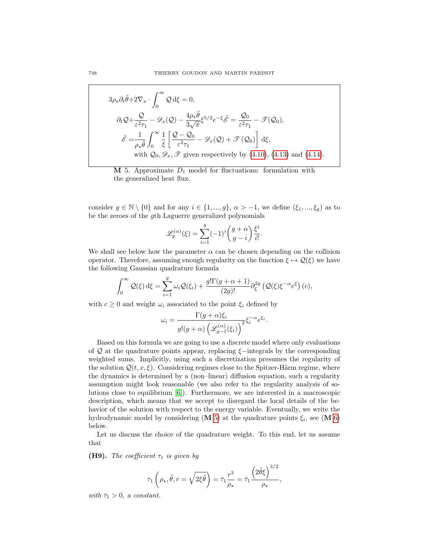$$
3\rho_{\star}\partial_{t}\tilde{\theta}+2\nabla_{x}\cdot\int_{0}^{\infty}\mathcal{Q}\,\mathrm{d}\xi=0,
$$
  

$$
\partial_{t}\mathcal{Q}+\frac{\mathcal{Q}}{\varepsilon^{2}\tau_{1}}-\mathscr{D}_{x}(\mathcal{Q})-\frac{4\rho_{\star}\tilde{\theta}}{3\sqrt{\pi}}\xi^{5/2}e^{-\xi}\tilde{\mathscr{E}}=\frac{\mathcal{Q}_{0}}{\varepsilon^{2}\tau_{1}}-\mathscr{T}(\mathcal{Q}_{0}),
$$
  

$$
\tilde{\mathscr{E}}=\frac{1}{\rho_{\star}\tilde{\theta}}\int_{0}^{\infty}\frac{1}{\xi}\left[\frac{\mathcal{Q}-\mathcal{Q}_{0}}{\varepsilon^{2}\tau_{1}}-\mathscr{D}_{x}(\mathcal{Q})+\mathscr{T}(\mathcal{Q}_{0})\right]\,\mathrm{d}\xi,
$$
  
with  $\mathcal{Q}_{0},\mathscr{D}_{x},\mathscr{T}$  given respectively by (4.10), (4.13) and (4.14).

<span id="page-13-0"></span> $M$  5. Approximate  $D_1$  model for fluctuations: formulation with the generalized heat flux.

consider  $g \in \mathbb{N} \setminus \{0\}$  and for any  $i \in \{1, ..., g\}, \alpha > -1$ , we define  $(\xi_1, ..., \xi_g)$  as to be the zeroes of the gth Laguerre generalized polynomials

$$
\mathcal{L}_g^{(\alpha)}(\xi) = \sum_{i=1}^g (-1)^i \binom{g+\alpha}{g-i} \frac{\xi^i}{i!}.
$$

We shall see below how the parameter  $\alpha$  can be chosen depending on the collision operator. Therefore, assuming enough regularity on the function  $\xi \mapsto \mathcal{Q}(\xi)$  we have the following Gaussian quadrature formula

$$
\int_0^\infty \mathcal{Q}(\xi) \,d\xi = \sum_{i=1}^g \omega_i \mathcal{Q}(\xi_i) + \frac{g! \Gamma(g + \alpha + 1)}{(2g)!} \partial_\xi^{2g} \left( \mathcal{Q}(\xi) \xi^{-\alpha} e^{\xi} \right)(c),
$$

with  $c \geq 0$  and weight  $\omega_i$  associated to the point  $\xi_i$  defined by

$$
\omega_i = \frac{\Gamma(g + \alpha)\xi_i}{g!(g + \alpha)\left(\mathcal{L}_{g-1}^{(\alpha)}(\xi_i)\right)^2} \xi_i^{-\alpha} e^{\xi_i}.
$$

Based on this formula we are going to use a discrete model where only evaluations of Q at the quadrature points appear, replacing  $\xi$ −integrals by the corresponding weighted sums. Implicitly, using such a discretization presumes the regularity of the solution  $\mathcal{Q}(t, x, \xi)$ . Considering regimes close to the Spitzer-Härm regime, where the dynamics is determined by a (non–linear) diffusion equation, such a regularity assumption might look reasonable (we also refer to the regularity analysis of solutions close to equilibrium [\[6\]](#page-31-14)). Furthermore, we are interested in a macroscopic description, which means that we accept to disregard the local details of the behavior of the solution with respect to the energy variable. Eventually, we write the hydrodynamic model by considering (M [5\)](#page-13-0) at the quadrature points  $\xi_i$ , see (M [6\)](#page-14-0) below.

Let us discuss the choice of the quadrature weight. To this end, let us assume that

<span id="page-13-1"></span>**(H9).** The coefficient  $\tau_1$  is given by

$$
\tau_1\left(\rho_\star, \tilde{\theta}, r = \sqrt{2\xi \tilde{\theta}}\right) = \bar{\tau}_1 \frac{r^3}{\rho_\star} = \bar{\tau}_1 \frac{\left(2\tilde{\theta}\xi\right)^{3/2}}{\rho_\star},
$$

with  $\bar{\tau}_1 > 0$ , a constant.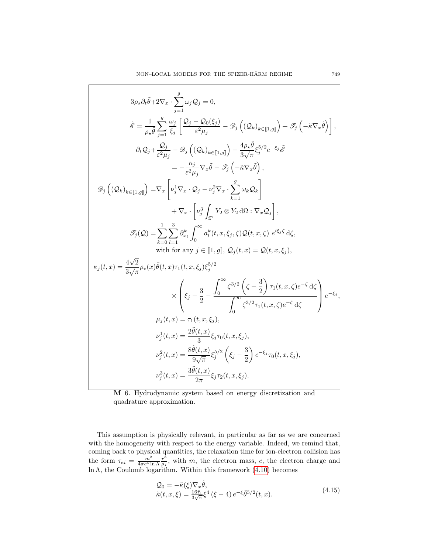$$
3\rho_{\star}\partial_{t}\tilde{\theta}+2\nabla_{x}\cdot\sum_{j=1}^{g}\omega_{j}Q_{j}=0,
$$
\n
$$
\tilde{\mathscr{E}}=\frac{1}{\rho_{\star}\tilde{\theta}}\sum_{j=1}^{g}\frac{\omega_{j}}{\xi_{j}}\left[\frac{Q_{j}-Q_{0}(\xi_{j})}{\varepsilon^{2}\mu_{j}}-\mathscr{D}_{j}\left((Q_{k})_{k\in[1,g]}\right)+\mathscr{T}_{j}\left(-\tilde{\kappa}\nabla_{x}\tilde{\theta}\right)\right],
$$
\n
$$
\partial_{t}Q_{j}+\frac{Q_{j}}{\varepsilon^{2}\mu_{j}}-\mathscr{D}_{j}\left((Q_{k})_{k\in[1,g]}\right)-\frac{4\rho_{\star}\tilde{\theta}}{3\sqrt{\pi}}\xi_{j}^{5/2}e^{-\xi_{j}}\tilde{\mathscr{E}}
$$
\n
$$
=-\frac{\kappa_{j}}{\varepsilon^{2}\mu_{j}}\nabla_{x}\tilde{\theta}-\mathscr{T}_{j}\left(-\tilde{\kappa}\nabla_{x}\tilde{\theta}\right),
$$
\n
$$
\mathscr{D}_{j}\left((Q_{k})_{k\in[1,g]}\right)=\nabla_{x}\left[\nu_{j}^{1}\nabla_{x}\cdot Q_{j}-\nu_{j}^{2}\nabla_{x}\cdot\sum_{k=1}^{g}\omega_{k}Q_{k}\right]
$$
\n
$$
+\nabla_{x}\cdot\left[\nu_{j}^{3}\int_{S^{2}}Y_{2}\otimes Y_{2}\,d\Omega\cdot\nabla_{x}Q_{j}\right],
$$
\n
$$
\mathscr{T}_{j}(Q)=\sum_{k=0}^{1}\sum_{l=1}^{3}\frac{\partial_{x_{l}}}{\partial_{v}}\int_{0}^{\infty}a_{l}^{k}(t,x,\xi_{j},\zeta)Q(t,x,\zeta)\,e^{i\xi_{j}\zeta}\,d\zeta,
$$
\nwith for any  $j\in[\![1,g]\!], Q_{j}(t,x)=Q(t,x,\xi_{j}),$ \n
$$
\kappa_{j}(t,x)=\frac{4\sqrt{2}}{3\sqrt{\pi}}\rho_{\star}(x)\tilde{\theta}(t,x)\tau_{1}(t,x,\xi_{j})\xi_{j}^{5/2}
$$
\n
$$
\times\left(\xi_{j}-\frac{3}{2}-\frac{\int_{0
$$

<span id="page-14-0"></span>M 6. Hydrodynamic system based on energy discretization and quadrature approximation.

This assumption is physically relevant, in particular as far as we are concerned with the homogeneity with respect to the energy variable. Indeed, we remind that, coming back to physical quantities, the relaxation time for ion-electron collision has the form  $\tau_{ei} = \frac{m^2}{4\pi c^4 \ln \Lambda} \frac{r^3}{\rho_{\star}}$  $\frac{r^3}{\rho_{\star}}$ , with m, the electron mass, c, the electron charge and ln Λ, the Coulomb logarithm. Within this framework [\(4.10\)](#page-11-3) becomes

<span id="page-14-1"></span>
$$
Q_0 = -\tilde{\kappa}(\xi)\nabla_x \tilde{\theta},
$$
  
\n
$$
\tilde{\kappa}(t, x, \xi) = \frac{16\bar{\tau}_1}{3\sqrt{\pi}} \xi^4 (\xi - 4) e^{-\xi} \tilde{\theta}^{5/2}(t, x).
$$
\n(4.15)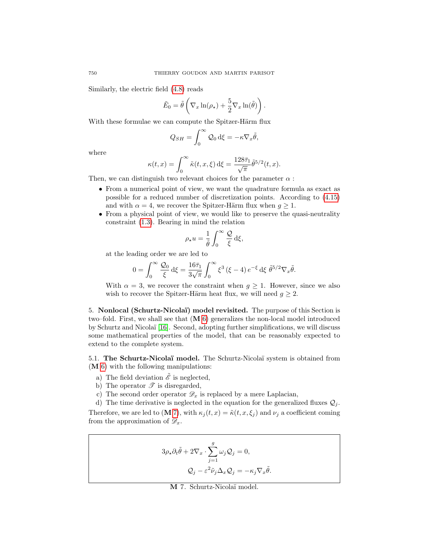Similarly, the electric field [\(4.8\)](#page-11-1) reads

$$
\tilde{E}_0 = \tilde{\theta} \left( \nabla_x \ln(\rho_\star) + \frac{5}{2} \nabla_x \ln(\tilde{\theta}) \right).
$$

With these formulae we can compute the Spitzer-Härm flux

$$
Q_{SH} = \int_0^\infty Q_0 \, \mathrm{d}\xi = -\kappa \nabla_x \tilde{\theta},
$$

where

$$
\kappa(t,x) = \int_0^\infty \tilde{\kappa}(t,x,\xi) \,d\xi = \frac{128\bar{\tau}_1}{\sqrt{\pi}} \tilde{\theta}^{5/2}(t,x).
$$

Then, we can distinguish two relevant choices for the parameter  $\alpha$ :

- From a numerical point of view, we want the quadrature formula as exact as possible for a reduced number of discretization points. According to [\(4.15\)](#page-14-1) and with  $\alpha = 4$ , we recover the Spitzer-Härm flux when  $g \geq 1$ .
- From a physical point of view, we would like to preserve the quasi-neutrality constraint [\(1.3\)](#page-1-0). Bearing in mind the relation

$$
\rho_\star u = \frac{1}{\tilde{\theta}} \int_0^\infty \frac{\mathcal{Q}}{\xi} \,\mathrm{d}\xi,
$$

at the leading order we are led to

$$
0 = \int_0^\infty \frac{\mathcal{Q}_0}{\xi} d\xi = \frac{16\bar{\tau}_1}{3\sqrt{\pi}} \int_0^\infty \xi^3 (\xi - 4) e^{-\xi} d\xi \ \tilde{\theta}^{5/2} \nabla_x \tilde{\theta}.
$$

With  $\alpha = 3$ , we recover the constraint when  $q \ge 1$ . However, since we also wish to recover the Spitzer-Härm heat flux, we will need  $g \geq 2$ .

<span id="page-15-0"></span>5. Nonlocal (Schurtz-Nicolaï) model revisited. The purpose of this Section is two–fold. First, we shall see that (M [6\)](#page-14-0) generalizes the non-local model introduced by Schurtz and Nicolaï [\[16\]](#page-31-5). Second, adopting further simplifications, we will discuss some mathematical properties of the model, that can be reasonably expected to extend to the complete system.

<span id="page-15-2"></span>5.1. The Schurtz-Nicolaï model. The Schurtz-Nicolaï system is obtained from (M [6\)](#page-14-0) with the following manipulations:

- a) The field deviation  $\tilde{\mathscr{E}}$  is neglected,
- b) The operator  $\mathscr T$  is disregarded,
- c) The second order operator  $\mathscr{D}_x$  is replaced by a mere Laplacian,

d) The time derivative is neglected in the equation for the generalized fluxes  $\mathcal{Q}_j$ . Therefore, we are led to (M [7\)](#page-15-1), with  $\kappa_i(t, x) = \tilde{\kappa}(t, x, \xi_i)$  and  $\nu_i$  a coefficient coming from the approximation of  $\mathscr{D}_x$ .

$$
3\rho_{\star}\partial_{t}\tilde{\theta} + 2\nabla_{x} \cdot \sum_{j=1}^{g} \omega_{j} Q_{j} = 0,
$$
  

$$
Q_{j} - \varepsilon^{2} \tilde{\nu}_{j} \Delta_{x} Q_{j} = -\kappa_{j} \nabla_{x} \tilde{\theta}.
$$

<span id="page-15-1"></span>M 7. Schurtz-Nicola¨ı model.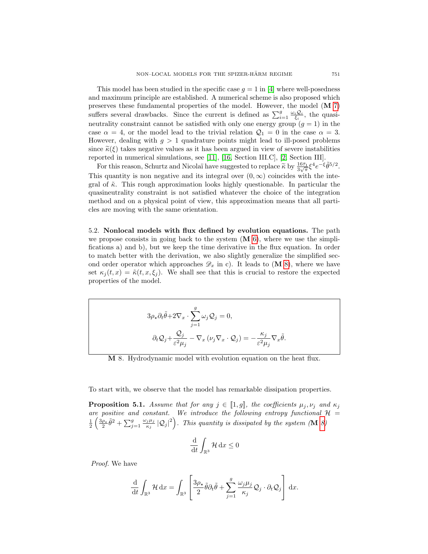This model has been studied in the specific case  $q = 1$  in [\[4\]](#page-31-1) where well-posedness and maximum principle are established. A numerical scheme is also proposed which preserves these fundamental properties of the model. However, the model (M [7\)](#page-15-1) suffers several drawbacks. Since the current is defined as  $\sum_{i=1}^{g} \frac{\omega_i Q_i}{\xi_i}$ , the quasineutrality constraint cannot be satisfied with only one energy group  $(g = 1)$  in the case  $\alpha = 4$ , or the model lead to the trivial relation  $\mathcal{Q}_1 = 0$  in the case  $\alpha = 3$ . However, dealing with  $q > 1$  quadrature points might lead to ill-posed problems since  $\tilde{\kappa}(\xi)$  takes negative values as it has been argued in view of severe instabilities reported in numerical simulations, see [\[11\]](#page-31-4), [\[16,](#page-31-5) Section III.C], [\[2,](#page-31-3) Section III].

For this reason, Schurtz and Nicolaï have suggested to replace  $\tilde{\kappa}$  by  $\frac{16\bar{\tau}_1}{3\sqrt{\pi}}\xi^4e^{-\xi}\tilde{\theta}^{5/2}$ . This quantity is non negative and its integral over  $(0, \infty)$  coincides with the integral of  $\tilde{\kappa}$ . This rough approximation looks highly questionable. In particular the quasineutrality constraint is not satisfied whatever the choice of the integration method and on a physical point of view, this approximation means that all particles are moving with the same orientation.

5.2. Nonlocal models with flux defined by evolution equations. The path we propose consists in going back to the system  $(M 6)$  $(M 6)$ , where we use the simplifications a) and b), but we keep the time derivative in the flux equation. In order to match better with the derivation, we also slightly generalize the simplified second order operator which approaches  $\mathscr{D}_x$  in c). It leads to  $(M 8)$  $(M 8)$ , where we have set  $\kappa_j(t,x) = \tilde{\kappa}(t,x,\xi_j)$ . We shall see that this is crucial to restore the expected properties of the model.

$$
3\rho_{\star}\partial_{t}\tilde{\theta}+2\nabla_{x}\cdot\sum_{j=1}^{g}\omega_{j}\mathcal{Q}_{j}=0,
$$

$$
\partial_{t}\mathcal{Q}_{j}+\frac{\mathcal{Q}_{j}}{\varepsilon^{2}\mu_{j}}-\nabla_{x}\left(\nu_{j}\nabla_{x}\cdot\mathcal{Q}_{j}\right)=-\frac{\kappa_{j}}{\varepsilon^{2}\mu_{j}}\nabla_{x}\tilde{\theta}.
$$

<span id="page-16-0"></span>M 8. Hydrodynamic model with evolution equation on the heat flux.

To start with, we observe that the model has remarkable dissipation properties.

<span id="page-16-1"></span>**Proposition 5.1.** Assume that for any  $j \in [1, g]$ , the coefficients  $\mu_j, \nu_j$  and  $\kappa_j$ are positive and constant. We introduce the following entropy functional  $\mathcal{H} =$  $\frac{1}{2}\left(\frac{3\rho_{\star}}{2}\tilde{\theta}^{2} + \sum_{j=1}^{g}\frac{\omega_{j}\mu_{j}}{\kappa_{j}}\right)$  $\int_{\kappa_j}^{j\mu_j} |Q_j|^2\bigg)$ . This quantity is dissipated by the system (**M** [8\)](#page-16-0)

$$
\frac{\mathrm{d}}{\mathrm{d}t} \int_{\mathbb{R}^3} \mathcal{H} \, \mathrm{d}x \le 0
$$

Proof. We have

$$
\frac{\mathrm{d}}{\mathrm{d}t} \int_{\mathbb{R}^3} \mathcal{H} \, \mathrm{d}x = \int_{\mathbb{R}^3} \left[ \frac{3\rho_\star}{2} \tilde{\theta} \partial_t \tilde{\theta} + \sum_{j=1}^g \frac{\omega_j \mu_j}{\kappa_j} \mathcal{Q}_j \cdot \partial_t \mathcal{Q}_j \right] \, \mathrm{d}x.
$$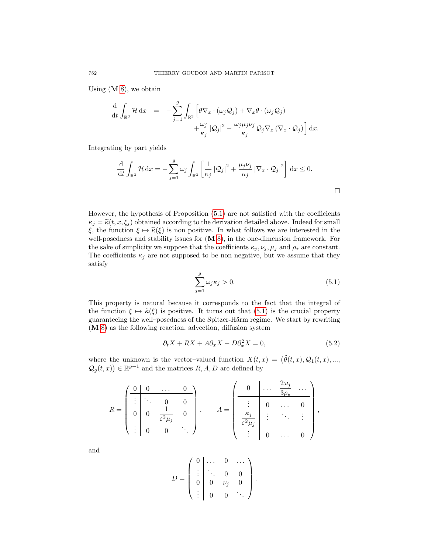Using  $(M 8)$  $(M 8)$ , we obtain

$$
\frac{\mathrm{d}}{\mathrm{d}t} \int_{\mathbb{R}^3} \mathcal{H} \, \mathrm{d}x = -\sum_{j=1}^g \int_{\mathbb{R}^3} \left[ \theta \nabla_x \cdot (\omega_j Q_j) + \nabla_x \theta \cdot (\omega_j Q_j) \right. \\
\left. + \frac{\omega_j}{\kappa_j} |\mathcal{Q}_j|^2 - \frac{\omega_j \mu_j \nu_j}{\kappa_j} \mathcal{Q}_j \nabla_x (\nabla_x \cdot \mathcal{Q}_j) \right] \mathrm{d}x.
$$

Integrating by part yields

$$
\frac{\mathrm{d}}{\mathrm{d}t} \int_{\mathbb{R}^3} \mathcal{H} \, \mathrm{d}x = -\sum_{j=1}^g \omega_j \int_{\mathbb{R}^3} \left[ \frac{1}{\kappa_j} \left| \mathcal{Q}_j \right|^2 + \frac{\mu_j \nu_j}{\kappa_j} \left| \nabla_x \cdot \mathcal{Q}_j \right|^2 \right] \, \mathrm{d}x \le 0.
$$

However, the hypothesis of Proposition [\(5.1\)](#page-16-1) are not satisfied with the coefficients  $\kappa_j = \tilde{\kappa}(t, x, \xi_j)$  obtained according to the derivation detailed above. Indeed for small ξ, the function  $\xi \mapsto \tilde{\kappa}(\xi)$  is non positive. In what follows we are interested in the well-posedness and stability issues for (M [8\)](#page-16-0), in the one-dimension framework. For the sake of simplicity we suppose that the coefficients  $\kappa_j, \nu_j, \mu_j$  and  $\rho_\star$  are constant. The coefficients  $\kappa_j$  are not supposed to be non negative, but we assume that they satisfy

<span id="page-17-0"></span>
$$
\sum_{j=1}^{g} \omega_j \kappa_j > 0.
$$
\n(5.1)

 $\Box$ 

This property is natural because it corresponds to the fact that the integral of the function  $\xi \mapsto \tilde{\kappa}(\xi)$  is positive. It turns out that [\(5.1\)](#page-17-0) is the crucial property guaranteeing the well–posedness of the Spitzer-Härm regime. We start by rewriting (M [8\)](#page-16-0) as the following reaction, advection, diffusion system

<span id="page-17-1"></span>
$$
\partial_t X + RX + A \partial_x X - D \partial_x^2 X = 0,\tag{5.2}
$$

where the unknown is the vector-valued function  $X(t, x) = (\tilde{\theta}(t, x), \mathcal{Q}_1(t, x), \dots,$  $\mathcal{Q}_g(t,x)$   $\in \mathbb{R}^{g+1}$  and the matrices  $R, A, D$  are defined by

$$
R = \begin{pmatrix} 0 & 0 & \dots & 0 \\ \vdots & \ddots & 0 & 0 \\ 0 & 0 & \frac{1}{\varepsilon^2 \mu_j} & 0 \\ \vdots & 0 & 0 & \ddots \end{pmatrix}, \qquad A = \begin{pmatrix} 0 & \dots & \frac{2\omega_j}{3\rho_\star} & \dots \\ \vdots & 0 & \dots & 0 \\ \frac{\kappa_j}{\varepsilon^2 \mu_j} & \vdots & \ddots & \vdots \\ \vdots & 0 & \dots & 0 \end{pmatrix},
$$

and

$$
D = \begin{pmatrix} 0 & \dots & 0 & \dots \\ \vdots & \ddots & 0 & 0 \\ 0 & 0 & \nu_j & 0 \\ \vdots & 0 & 0 & \ddots \end{pmatrix}.
$$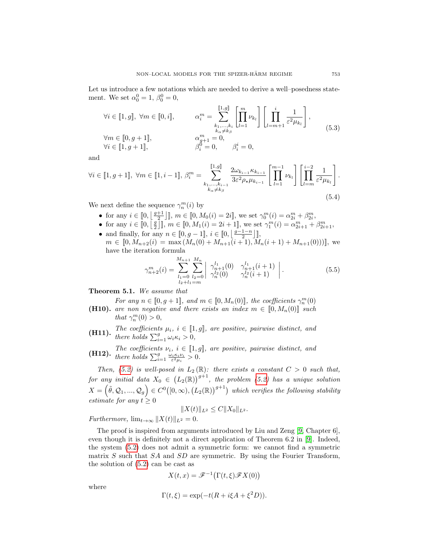Let us introduce a few notations which are needed to derive a well–posedness statement. We set  $\alpha_0^0 = 1, \beta_0^0 = 0,$ 

<span id="page-18-2"></span>
$$
\forall i \in [1, g], \forall m \in [0, i], \qquad \alpha_i^m = \sum_{\substack{k_1, \dots, k_i \\ k_\alpha \neq k_\beta}}^{[1, g]} \left[ \prod_{l=1}^m \nu_{k_l} \right] \left[ \prod_{l=m+1}^i \frac{1}{\varepsilon^2 \mu_{k_l}} \right],
$$
  

$$
\forall m \in [0, g+1], \qquad \alpha_{g+1}^m = 0,
$$
  

$$
\forall i \in [1, g+1], \qquad \beta_i^0 = 0, \qquad \beta_i^i = 0,
$$
  
(5.3)

and

<span id="page-18-3"></span>
$$
\forall i \in [1, g+1], \ \forall m \in [1, i-1], \ \beta_i^m = \sum_{\substack{k_1, \dots, k_{i-1} \\ k_\alpha \neq k_\beta}}^{[1, g]} \frac{2\omega_{k_{i-1}} \kappa_{k_{i-1}}}{3\varepsilon^2 \rho_\star \mu_{k_{i-1}}} \left[ \prod_{l=1}^{m-1} \nu_{k_l} \right] \left[ \prod_{l=m}^{i-2} \frac{1}{\varepsilon^2 \mu_{k_l}} \right].
$$
\n(5.4)

We next define the sequence  $\gamma_n^m(i)$  by

- for any  $i \in [0, \left\lfloor \frac{g+1}{2} \right\rfloor], m \in [0, M_0(i) = 2i]$ , we set  $\gamma_0^m(i) = \alpha_{2i}^m + \beta_{2i}^m$ ,
- for any  $i \in [0, \left[\frac{g}{2}\right]]$ ,  $m \in [0, M_1(i) = 2i + 1]$ , we set  $\gamma_1^m(i) = \alpha_{2i+1}^m + \beta_{2i+1}^m$ ,
- and finally, for any  $n \in [0, g-1]$ ,  $i \in [0, \left\lfloor \frac{g-1-n}{2} \right\rfloor]$ ,  $m \in [0, M_{n+2}(i) = \max(M_n(0) + M_{n+1}(i+1), M_n(i+1) + M_{n+1}(0))]$ , we have the iteration formula

<span id="page-18-6"></span>
$$
\gamma_{n+2}^m(i) = \sum_{\substack{l_1=0 \ l_2+l_1=m}}^{M_{n+1}} \sum_{\substack{l_2=0 \ l_2+l_1=m}}^{M_n} \left| \begin{array}{cc} \gamma_{n+1}^{l_1}(0) & \gamma_{n+1}^{l_1}(i+1) \\ \gamma_n^{l_2}(0) & \gamma_n^{l_2}(i+1) \end{array} \right| . \tag{5.5}
$$

<span id="page-18-1"></span>Theorem 5.1. We assume that

For any  $n \in [0, g+1]$ , and  $m \in [0, M_n(0)]$ , the coefficients  $\gamma_n^m(0)$ 

- <span id="page-18-5"></span>**(H10).** are non negative and there exists an index  $m \in [0, M_n(0)]$  such that  $\gamma_n^m(0) > 0$ ,
- <span id="page-18-0"></span>(H11). The coefficients  $\mu_i$ ,  $i \in [1, g]$ , are positive, pairwise distinct, and there holds  $\sum_{i=1}^g \omega_i \kappa_i > 0$ ,
- <span id="page-18-4"></span>(H12). The coefficients  $\nu_i$ ,  $i \in [1, g]$ , are positive, pairwise distinct, and there holds  $\sum_{i=1}^g \frac{\omega_i \kappa_i \nu_i}{\varepsilon^2 \mu_i} > 0$ .

Then, [\(5.2\)](#page-17-1) is well-posed in  $L_2(\mathbb{R})$ : there exists a constant  $C > 0$  such that, for any initial data  $X_0 \in (L_2(\mathbb{R}))^{g+1}$ , the problem [\(5.2\)](#page-17-1) has a unique solution  $X=\left(\tilde{\theta},\mathcal{Q}_1,...,\mathcal{Q}_g\right)\in C^0\big([0,\infty),\big(L_2(\mathbb{R})\big)^{g+1}\big)$  which verifies the following stability estimate for any  $t \geq 0$ 

$$
||X(t)||_{L^2} \leq C||X_0||_{L^2}.
$$

Furthermore,  $\lim_{t\to\infty} ||X(t)||_{L^2} = 0.$ 

The proof is inspired from arguments introduced by Liu and Zeng [\[9,](#page-31-15) Chapter 6], even though it is definitely not a direct application of Theorem 6.2 in [\[9\]](#page-31-15). Indeed, the system [\(5.2\)](#page-17-1) does not admit a symmetric form: we cannot find a symmetric matrix  $S$  such that  $SA$  and  $SD$  are symmetric. By using the Fourier Transform, the solution of [\(5.2\)](#page-17-1) can be cast as

$$
X(t,x) = \mathcal{F}^{-1}(\Gamma(t,\xi)\mathcal{F}X(0))
$$

where

$$
\Gamma(t,\xi) = \exp(-t(R + i\xi A + \xi^2 D)).
$$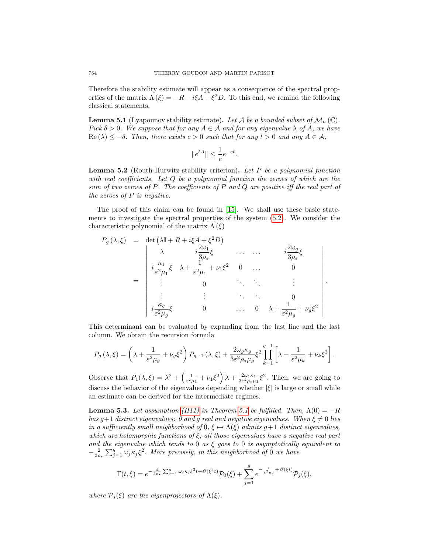Therefore the stability estimate will appear as a consequence of the spectral properties of the matrix  $\Lambda(\xi) = -R - i\xi A - \xi^2 D$ . To this end, we remind the following classical statements.

<span id="page-19-2"></span>**Lemma 5.1** (Lyapounov stability estimate). Let A be a bounded subset of  $\mathcal{M}_n(\mathbb{C})$ . Pick  $\delta > 0$ . We suppose that for any  $A \in \mathcal{A}$  and for any eigenvalue  $\lambda$  of A, we have  $\text{Re}(\lambda) \leq -\delta$ . Then, there exists  $c > 0$  such that for any  $t > 0$  and any  $A \in \mathcal{A}$ ,

$$
||e^{tA}|| \le \frac{1}{c}e^{-ct}.
$$

<span id="page-19-1"></span>**Lemma 5.2** (Routh-Hurwitz stability criterion). Let P be a polynomial function with real coefficients. Let Q be a polynomial function the zeroes of which are the sum of two zeroes of  $P$ . The coefficients of  $P$  and  $Q$  are positive iff the real part of the zeroes of  $P$  is negative.

The proof of this claim can be found in [\[15\]](#page-31-16). We shall use these basic statements to investigate the spectral properties of the system [\(5.2\)](#page-17-1). We consider the characteristic polynomial of the matrix  $\Lambda(\xi)$ 

$$
P_g(\lambda, \xi) = \det \left( \lambda \mathbb{I} + R + i\xi A + \xi^2 D \right)
$$
  
\n
$$
\lambda \qquad i \frac{2\omega_1}{3\rho_\star} \xi \qquad \dots \qquad i \frac{2\omega_g}{3\rho_\star} \xi
$$
  
\n
$$
= \begin{vmatrix}\n\lambda & i \frac{2\omega_1}{3\rho_\star} \xi & \dots & \dots & i \frac{2\omega_g}{3\rho_\star} \xi \\
i \frac{\kappa_1}{\varepsilon^2 \mu_1} \xi & \lambda + \frac{1}{\varepsilon^2 \mu_1} + \nu_1 \xi^2 & 0 & \dots & 0 \\
\vdots & 0 & \ddots & \vdots & \vdots \\
i \frac{\kappa_g}{\varepsilon^2 \mu_g} \xi & 0 & \dots & 0 & \lambda + \frac{1}{\varepsilon^2 \mu_g} + \nu_g \xi^2\n\end{vmatrix}.
$$

This determinant can be evaluated by expanding from the last line and the last column. We obtain the recursion formula

$$
P_g\left(\lambda,\xi\right) = \left(\lambda + \frac{1}{\varepsilon^2 \mu_g} + \nu_g \xi^2\right) P_{g-1}\left(\lambda,\xi\right) + \frac{2\omega_g \kappa_g}{3\varepsilon^2 \rho_\star \mu_g} \xi^2 \prod_{k=1}^{g-1} \left[\lambda + \frac{1}{\varepsilon^2 \mu_k} + \nu_k \xi^2\right].
$$

Observe that  $P_1(\lambda,\xi) = \lambda^2 + \left(\frac{1}{\varepsilon^2\mu_1} + \nu_1\xi^2\right)\lambda + \frac{2\omega_1\kappa_1}{3\varepsilon^2\rho_\star\mu_1}\xi^2$ . Then, we are going to discuss the behavior of the eigenvalues depending whether  $|\xi|$  is large or small while an estimate can be derived for the intermediate regimes.

<span id="page-19-0"></span>**Lemma 5.3.** Let assumption [\(H11\)](#page-18-0) in Theorem [5.1](#page-18-1) be fulfilled. Then,  $\Lambda(0) = -R$ has g+1 distinct eigenvalues: 0 and g real and negative eigenvalues. When  $\xi \neq 0$  lies in a sufficiently small neighborhood of  $0, \xi \mapsto \Lambda(\xi)$  admits  $g+1$  distinct eigenvalues, which are holomorphic functions of  $\xi$ ; all those eigenvalues have a negative real part and the eigenvalue which tends to 0 as  $\xi$  goes to 0 is asymptotically equivalent to  $-\frac{2}{3\rho_{\star}}\sum_{j=1}^{g}\omega_{j}\kappa_{j}\xi^{2}$ . More precisely, in this neighborhood of 0 we have

$$
\Gamma(t,\xi) = e^{-\frac{2}{3\rho_{\star}}\sum_{j=1}^g \omega_j \kappa_j \xi^2 t + \mathcal{O}(\xi^3 t)} \mathcal{P}_0(\xi) + \sum_{j=1}^g e^{-\frac{t}{\varepsilon^2 \mu_j} + \mathcal{O}(\xi t)} \mathcal{P}_j(\xi),
$$

where  $\mathcal{P}_i(\xi)$  are the eigenprojectors of  $\Lambda(\xi)$ .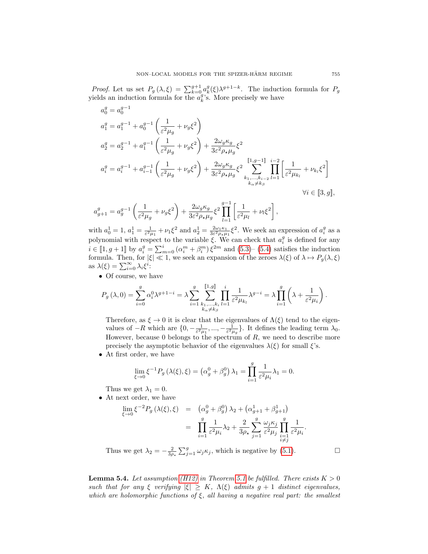*Proof.* Let us set  $P_g(\lambda, \xi) = \sum_{k=0}^{g+1} a_k^g(\xi) \lambda^{g+1-k}$ . The induction formula for  $P_g$ yields an induction formula for the  $a_k^g$ 's. More precisely we have

$$
a_0^g = a_0^{g-1}
$$
  
\n
$$
a_1^g = a_1^{g-1} + a_0^{g-1} \left( \frac{1}{\varepsilon^2 \mu_g} + \nu_g \xi^2 \right)
$$
  
\n
$$
a_2^g = a_2^{g-1} + a_1^{g-1} \left( \frac{1}{\varepsilon^2 \mu_g} + \nu_g \xi^2 \right) + \frac{2\omega_g \kappa_g}{3\varepsilon^2 \rho_\star \mu_g} \xi^2
$$
  
\n
$$
a_i^g = a_i^{g-1} + a_{i-1}^{g-1} \left( \frac{1}{\varepsilon^2 \mu_g} + \nu_g \xi^2 \right) + \frac{2\omega_g \kappa_g}{3\varepsilon^2 \rho_\star \mu_g} \xi^2 \sum_{\substack{k_1, \dots, k_{i-2} \\ k_{\alpha} \neq k_{\beta}}}^{[1, g-1]} \prod_{\substack{i=2 \\ \\ k_i \neq k_{\beta}}}^{i-1} \left[ \frac{1}{\varepsilon^2 \mu_{k_l}} + \nu_{k_l} \xi^2 \right]
$$
  
\n
$$
\forall i \in [3, g],
$$

$$
a_{g+1}^g = a_g^{g-1} \left( \frac{1}{\varepsilon^2 \mu_g} + \nu_g \xi^2 \right) + \frac{2\omega_g \kappa_g}{3\varepsilon^2 \rho_\star \mu_g} \xi^2 \prod_{l=1}^{g-1} \left[ \frac{1}{\varepsilon^2 \mu_l} + \nu_l \xi^2 \right],
$$

with  $a_0^1 = 1$ ,  $a_1^1 = \frac{1}{\varepsilon^2 \mu_1} + \nu_1 \xi^2$  and  $a_2^1 = \frac{2\omega_1 \kappa_1}{3\varepsilon^2 \rho_\star \mu_1} \xi^2$ . We seek an expression of  $a_i^g$  as a polynomial with respect to the variable  $\xi$ . We can check that  $a_i^g$  is defined for any  $i \in [1, g+1]$  by  $a_i^g = \sum_{m=0}^i (\alpha_i^m + \beta_i^m) \xi^{2m}$  and  $(5.3)$ – $(5.4)$  satisfies the induction formula. Then, for  $|\xi| \ll 1$ , we seek an expansion of the zeroes  $\lambda(\xi)$  of  $\lambda \mapsto P_g(\lambda, \xi)$ as  $\lambda(\xi) = \sum_{i=0}^{\infty} \lambda_i \xi^i$ :

• Of course, we have

$$
P_g\left(\lambda,0\right)=\sum_{i=0}^g\alpha_i^0\lambda^{g+1-i}=\lambda\sum_{i=1}^g\sum_{\substack{k_1,\ldots,k_i\\k_\alpha\neq k_\beta}}^{[\![1,g]\!]} \prod_{l=1}^i\frac{1}{\varepsilon^2\mu_{k_l}}\lambda^{g-i}=\lambda\prod_{i=1}^g\left(\lambda+\frac{1}{\varepsilon^2\mu_i}\right).
$$

Therefore, as  $\xi \to 0$  it is clear that the eigenvalues of  $\Lambda(\xi)$  tend to the eigenvalues of  $-R$  which are  $\{0, -\frac{1}{\varepsilon^2 \mu_1}, ..., -\frac{1}{\varepsilon^2 \mu_g}\}$ . It defines the leading term  $\lambda_0$ . However, because  $0$  belongs to the spectrum of  $R$ , we need to describe more precisely the asymptotic behavior of the eigenvalues  $\lambda(\xi)$  for small  $\xi$ 's.

• At first order, we have

$$
\lim_{\xi \to 0} \xi^{-1} P_g(\lambda(\xi), \xi) = (\alpha_g^0 + \beta_g^0) \lambda_1 = \prod_{i=1}^g \frac{1}{\varepsilon^2 \mu_i} \lambda_1 = 0.
$$

Thus we get  $\lambda_1 = 0$ .

• At next order, we have

$$
\lim_{\xi \to 0} \xi^{-2} P_g(\lambda(\xi), \xi) = (\alpha_g^0 + \beta_g^0) \lambda_2 + (\alpha_{g+1}^1 + \beta_{g+1}^1)
$$
  

$$
= \prod_{i=1}^g \frac{1}{\varepsilon^2 \mu_i} \lambda_2 + \frac{2}{3\rho_\star} \sum_{j=1}^g \frac{\omega_j \kappa_j}{\varepsilon^2 \mu_j} \prod_{\substack{i=1 \ i \neq j}}^g \frac{1}{\varepsilon^2 \mu_i}.
$$

Thus we get  $\lambda_2 = -\frac{2}{3\rho_*} \sum_{j=1}^g \omega_j \kappa_j$ , which is negative by [\(5.1\)](#page-17-0).

<span id="page-20-0"></span>**Lemma 5.4.** Let assumption [\(H12\)](#page-18-4) in Theorem [5.1](#page-18-1) be fulfilled. There exists  $K > 0$ such that for any ξ verifying  $|\xi| \geq K$ ,  $\Lambda(\xi)$  admits  $g + 1$  distinct eigenvalues, which are holomorphic functions of  $\xi$ , all having a negative real part: the smallest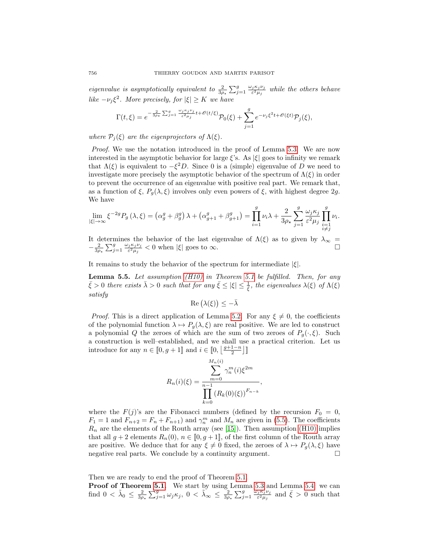eigenvalue is asymptotically equivalent to  $\frac{2}{3\rho_*}\sum_{j=1}^g\frac{\omega_j\kappa_j\nu_j}{\varepsilon^2\mu_j}$  while the others behave like  $-\nu_j \xi^2$ . More precisely, for  $|\xi| \geq K$  we have

$$
\Gamma(t,\xi)=e^{-\frac{2}{3\rho_\star}\sum_{j=1}^g\frac{\omega_j\kappa_j\nu_j}{\varepsilon^2\mu_j}t+\mathscr{O}(t/\xi)}\mathcal{P}_0(\xi)+\sum_{j=1}^ge^{-\nu_j\xi^2t+\mathscr{O}(\xi t)}\mathcal{P}_j(\xi),
$$

where  $\mathcal{P}_i(\xi)$  are the eigenprojectors of  $\Lambda(\xi)$ .

Proof. We use the notation introduced in the proof of Lemma [5.3.](#page-19-0) We are now interested in the asymptotic behavior for large  $\xi$ 's. As  $|\xi|$  goes to infinity we remark that  $\Lambda(\xi)$  is equivalent to  $-\xi^2 D$ . Since 0 is a (simple) eigenvalue of D we need to investigate more precisely the asymptotic behavior of the spectrum of  $\Lambda(\xi)$  in order to prevent the occurrence of an eigenvalue with positive real part. We remark that, as a function of  $\xi$ ,  $P_g(\lambda, \xi)$  involves only even powers of  $\xi$ , with highest degree 2g. We have

$$
\lim_{|\xi| \to \infty} \xi^{-2g} P_g\left(\lambda, \xi\right) = \left(\alpha_g^g + \beta_g^g\right) \lambda + \left(\alpha_{g+1}^g + \beta_{g+1}^g\right) = \prod_{i=1}^g \nu_i \lambda + \frac{2}{3\rho_\star} \sum_{j=1}^g \frac{\omega_j \kappa_j}{\varepsilon^2 \mu_j} \prod_{\substack{i=1 \\ i \neq j}}^g \nu_i.
$$

It determines the behavior of the last eigenvalue of  $\Lambda(\xi)$  as to given by  $\lambda_{\infty} =$  $-\frac{2}{3\rho_{\star}}\sum_{j=1}^{g}\frac{\omega_{j}\kappa_{j}\nu_{j}}{\varepsilon^{2}\mu_{j}} < 0$  when  $|\xi|$  goes to  $\infty$ .

It remains to study the behavior of the spectrum for intermediate  $|\xi|$ .

<span id="page-21-0"></span>**Lemma 5.5.** Let assumption  $(H10)$  in Theorem [5.1](#page-18-1) be fulfilled. Then, for any  $\bar{\xi} > 0$  there exists  $\bar{\lambda} > 0$  such that for any  $\bar{\xi} \leq |\xi| \leq \frac{1}{\bar{\xi}}$ , the eigenvalues  $\lambda(\xi)$  of  $\Lambda(\xi)$ satisfy

$$
Re\left(\lambda(\xi)\right) \leq -\bar{\lambda}
$$

*Proof.* This is a direct application of Lemma [5.2.](#page-19-1) For any  $\xi \neq 0$ , the coefficients of the polynomial function  $\lambda \mapsto P_q(\lambda, \xi)$  are real positive. We are led to construct a polynomial Q the zeroes of which are the sum of two zeroes of  $P_g(\cdot,\xi)$ . Such a construction is well–established, and we shall use a practical criterion. Let us introduce for any  $n \in [0, g+1]$  and  $i \in [0, \left\lfloor \frac{g+1-n}{2} \right\rfloor]$ 

$$
R_n(i)(\xi) = \frac{\sum_{m=0}^{M_n(i)} \gamma_n^m(i)\xi^{2m}}{\prod_{k=0}^{n-1} (R_k(0)(\xi))^{F_{n-k}}},
$$

where the  $F(j)$ 's are the Fibonacci numbers (defined by the recursion  $F_0 = 0$ ,  $F_1 = 1$  and  $F_{n+2} = F_n + F_{n+1}$  and  $\gamma_n^m$  and  $M_n$  are given in [\(5.5\)](#page-18-6). The coefficients  $R_n$  are the elements of the Routh array (see [\[15\]](#page-31-16)). Then assumption [\(H10\)](#page-18-5) implies that all  $g + 2$  elements  $R_n(0), n \in [0, g + 1]$ , of the first column of the Routh array are positive. We deduce that for any  $\xi \neq 0$  fixed, the zeroes of  $\lambda \mapsto P_g(\lambda, \xi)$  have negative real parts. We conclude by a continuity argument.  $\Box$ 

Then we are ready to end the proof of Theorem [5.1.](#page-18-1)

Proof of Theorem [5.1.](#page-18-1) We start by using Lemma [5.3](#page-19-0) and Lemma [5.4:](#page-20-0) we can find  $0 < \tilde{\lambda}_0 \leq \frac{2}{3\rho_\star} \sum_{j=1}^g \omega_j \kappa_j$ ,  $0 < \tilde{\lambda}_\infty \leq \frac{2}{3\rho_\star} \sum_{j=1}^g \frac{\omega_j \kappa_j \nu_j}{\varepsilon^2 \mu_j}$  and  $\bar{\xi} > 0$  such that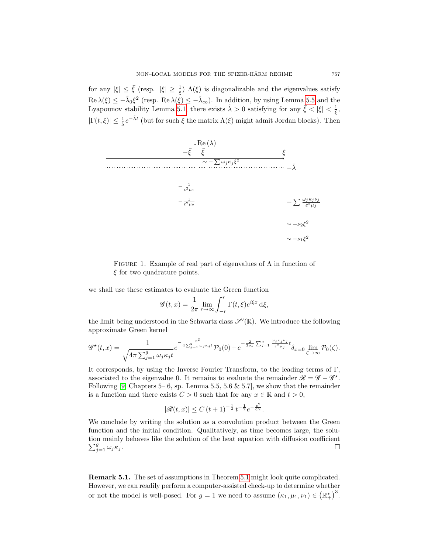for any  $|\xi| \leq \bar{\xi}$  (resp.  $|\xi| \geq \frac{1}{\xi}$ )  $\Lambda(\xi)$  is diagonalizable and the eigenvalues satisfy  $\text{Re }\lambda(\xi) \leq -\tilde{\lambda}_0 \xi^2$  (resp.  $\text{Re }\lambda(\xi) \leq -\tilde{\lambda}_{\infty}$ ). In addition, by using Lemma [5.5](#page-21-0) and the Lyapounov stability Lemma [5.1,](#page-19-2) there exists  $\tilde{\lambda} > 0$  satisfying for any  $\bar{\xi} < |\xi| < \frac{1}{\xi}$ ,  $|\Gamma(t,\xi)| \leq \frac{1}{\lambda}e^{-\tilde{\lambda}t}$  (but for such  $\xi$  the matrix  $\Lambda(\xi)$  might admit Jordan blocks). Then



FIGURE 1. Example of real part of eigenvalues of  $\Lambda$  in function of  $\xi$  for two quadrature points.

we shall use these estimates to evaluate the Green function

$$
\mathscr{G}(t,x) = \frac{1}{2\pi} \lim_{r \to \infty} \int_{-r}^{r} \Gamma(t,\xi) e^{i\xi x} d\xi,
$$

the limit being understood in the Schwartz class  $\mathscr{S}'(\mathbb{R})$ . We introduce the following approximate Green kernel

$$
\mathscr{G}^{\star}(t,x) = \frac{1}{\sqrt{4\pi \sum_{j=1}^{g} \omega_j \kappa_j t}} e^{-\frac{x^2}{4\sum_{j=1}^{g} \omega_j \kappa_j t}} \mathcal{P}_0(0) + e^{-\frac{2}{3\rho_{\star}} \sum_{j=1}^{g} \frac{\omega_j \kappa_j \nu_j}{\varepsilon^2 \mu_j} t} \delta_{x=0} \lim_{\zeta \to \infty} \mathcal{P}_0(\zeta).
$$

It corresponds, by using the Inverse Fourier Transform, to the leading terms of Γ, associated to the eigenvalue 0. It remains to evaluate the remainder  $\mathscr{R} = \mathscr{G} - \mathscr{G}^*$ . Following [\[9,](#page-31-15) Chapters 5– 6, sp. Lemma 5.5, 5.6 & 5.7], we show that the remainder is a function and there exists  $C > 0$  such that for any  $x \in \mathbb{R}$  and  $t > 0$ ,

$$
|\mathscr{R}(t,x)| \leq C (t+1)^{-\frac{1}{2}} t^{-\frac{1}{2}} e^{-\frac{x^2}{Ct}}.
$$

We conclude by writing the solution as a convolution product between the Green function and the initial condition. Qualitatively, as time becomes large, the solution mainly behaves like the solution of the heat equation with diffusion coefficient  $\sum_{j=1}^{g} \omega_j \kappa_j$ .

Remark 5.1. The set of assumptions in Theorem [5.1](#page-18-1) might look quite complicated. However, we can readily perform a computer-assisted check-up to determine whether or not the model is well-posed. For  $g = 1$  we need to assume  $(\kappa_1, \mu_1, \nu_1) \in (\mathbb{R}^*_+)$ <sup>3</sup>.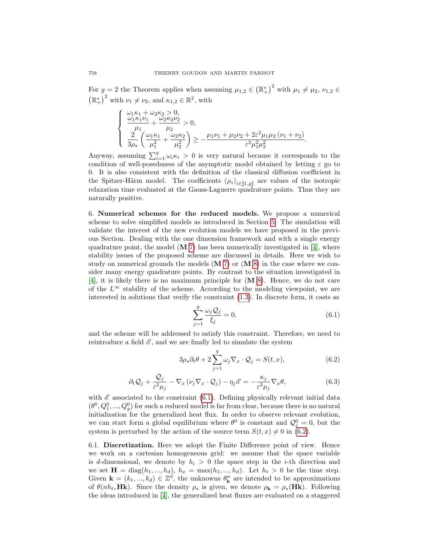For  $g = 2$  the Theorem applies when assuming  $\mu_{1,2} \in (\mathbb{R}^*)^2$  with  $\mu_1 \neq \mu_2, \nu_{1,2} \in$  $(\mathbb{R}^*_+)^2$  with  $\nu_1 \neq \nu_2$ , and  $\kappa_{1,2} \in \mathbb{R}^2$ , with

$$
\begin{cases} \n\frac{\omega_1 \kappa_1 + \omega_2 \kappa_2 > 0,}{\mu_1 + \frac{\omega_2 \kappa_2 \nu_2}{\mu_2}} > 0, \\
\frac{2}{3\rho_\star} \left( \frac{\omega_1 \kappa_1}{\mu_1^2} + \frac{\omega_2 \kappa_2}{\mu_2^2} \right) \ge -\frac{\mu_1 \nu_1 + \mu_2 \nu_2 + 2\varepsilon^2 \mu_1 \mu_2 (\nu_1 + \nu_2)}{\varepsilon^2 \mu_1^2 \mu_2^2}.\n\end{cases}
$$

Anyway, assuming  $\sum_{i=1}^{g} \omega_i \kappa_i > 0$  is very natural because it corresponds to the condition of well-posedsness of the asymptotic model obtained by letting  $\varepsilon$  go to 0. It is also consistent with the definition of the classical diffusion coefficient in the Spitzer-Härm model. The coefficients  $(\mu_i)_{i \in [\![1,g]\!]}$  are values of the isotropic relaxation time evaluated at the Gauss-Laguerre quadrature points. Thus they are naturally positive.

<span id="page-23-0"></span>6. Numerical schemes for the reduced models. We propose a numerical scheme to solve simplified models as introduced in Section [5.](#page-15-0) The simulation will validate the interest of the new evolution models we have proposed in the previous Section. Dealing with the one dimension framework and with a single energy quadrature point, the model  $(M 7)$  $(M 7)$  has been numerically investigated in [\[4\]](#page-31-1), where stability issues of the proposed scheme are discussed in details. Here we wish to study on numerical grounds the models  $(M 7)$  $(M 7)$  or  $(M 8)$  $(M 8)$  in the case where we consider many energy quadrature points. By contrast to the situation investigated in [\[4\]](#page-31-1), it is likely there is no maximum principle for (M [8\)](#page-16-0). Hence, we do not care of the  $L^{\infty}$  stability of the scheme. According to the modeling viewpoint, we are interested in solutions that verify the constraint [\(1.3\)](#page-1-0). In discrete form, it casts as

<span id="page-23-1"></span>
$$
\sum_{j=1}^{g} \frac{\omega_j Q_j}{\xi_j} = 0,\tag{6.1}
$$

and the scheme will be addressed to satisfy this constraint. Therefore, we need to reintroduce a field  $\mathscr E$ , and we are finally led to simulate the system

<span id="page-23-2"></span>
$$
3\rho_{\star}\partial_{t}\theta + 2\sum_{j=1}^{g}\omega_{j}\nabla_{x}\cdot\mathcal{Q}_{j} = S(t,x), \qquad (6.2)
$$

$$
\partial_t \mathcal{Q}_j + \frac{\mathcal{Q}_j}{\varepsilon^2 \mu_j} - \nabla_x \left( \nu_j \nabla_x \cdot \mathcal{Q}_j \right) - \eta_j \mathcal{E} = -\frac{\kappa_j}{\varepsilon^2 \mu_j} \nabla_x \theta, \tag{6.3}
$$

with  $\mathscr E$  associated to the constraint [\(6.1\)](#page-23-1). Defining physically relevant initial data  $(\theta^0, Q_1^0, ..., Q_g^0)$  for such a reduced model is far from clear, because there is no natural initialization for the generalized heat flux. In order to observe relevant evolution, we can start form a global equilibrium where  $\theta^0$  is constant and  $\mathcal{Q}^0_j = 0$ , but the system is perturbed by the action of the source term  $S(t, x) \neq 0$  in [\(6.2\)](#page-23-2).

6.1. Discretization. Here we adopt the Finite Difference point of view. Hence we work on a cartesian homogeneous grid: we assume that the space variable is d-dimensional, we denote by  $h_i > 0$  the space step in the *i*-th direction and we set  $\mathbf{H} = \text{diag}(h_1, ..., h_d), h_x = \text{max}(h_1, ..., h_d)$ . Let  $h_t > 0$  be the time step. Given  $\mathbf{k} = (k_1, ..., k_d) \in \mathbb{Z}^d$ , the unknowns  $\theta^n_{\mathbf{k}}$  are intended to be approximations of  $\theta(nh_t, H\mathbf{k})$ . Since the density  $\rho_{\star}$  is given, we denote  $\rho_{\mathbf{k}} = \rho_{\star}(H\mathbf{k})$ . Following the ideas introduced in [\[4\]](#page-31-1), the generalized heat fluxes are evaluated on a staggered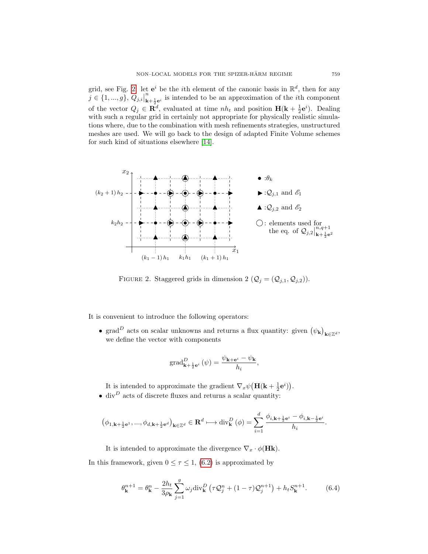grid, see Fig. [2:](#page-24-0) let  $e^i$  be the *i*th element of the canonic basis in  $\mathbb{R}^d$ , then for any  $j \in \{1, ..., g\}, Q_{j,i}$ n  $\kappa_{k+\frac{1}{2}e^{i}}^{n}$  is intended to be an approximation of the *i*<sup>th</sup> component of the vector  $Q_j \in \mathbf{R}^d$ , evaluated at time  $nh_t$  and position  $\mathbf{H}(\mathbf{k} + \frac{1}{2}\mathbf{e}^i)$ . Dealing with such a regular grid in certainly not appropriate for physically realistic simulations where, due to the combination with mesh refinements strategies, unstructured meshes are used. We will go back to the design of adapted Finite Volume schemes for such kind of situations elsewhere [\[14\]](#page-31-17).



<span id="page-24-0"></span>FIGURE 2. Staggered grids in dimension 2  $(Q_j = (Q_{j,1}, Q_{j,2}))$ .

It is convenient to introduce the following operators:

• grad<sup>D</sup> acts on scalar unknowns and returns a flux quantity: given  $(\psi_{\mathbf{k}})_{\mathbf{k}\in\mathbb{Z}^d}$ , we define the vector with components

$$
\operatorname{grad}^D_{\mathbf{k}+\frac{1}{2}\mathbf{e}^i}(\psi)=\frac{\psi_{\mathbf{k}+\mathbf{e}^i}-\psi_{\mathbf{k}}}{h_i},
$$

It is intended to approximate the gradient  $\nabla_x \psi \big( \mathbf{H}(\mathbf{k} + \frac{1}{2} \mathbf{e}^i) \big)$ .

• div $^D$  acts of discrete fluxes and returns a scalar quantity:

$$
\left(\phi_{1,\mathbf{k}+\frac{1}{2}\mathbf{e}^1},...,\phi_{d,\mathbf{k}+\frac{1}{2}\mathbf{e}^d}\right)_{\mathbf{k}\in\mathbb{Z}^d}\in\mathbf{R}^d\longmapsto \mathrm{div}_{\mathbf{k}}^D\left(\phi\right)=\sum_{i=1}^d\frac{\phi_{i,\mathbf{k}+\frac{1}{2}\mathbf{e}^i}-\phi_{i,\mathbf{k}-\frac{1}{2}\mathbf{e}^i}}{h_i}.
$$

It is intended to approximate the divergence  $\nabla_x \cdot \phi(H\mathbf{k})$ .

In this framework, given  $0 \leq \tau \leq 1$ , [\(6.2\)](#page-23-2) is approximated by

<span id="page-24-1"></span>
$$
\theta_{\mathbf{k}}^{n+1} = \theta_{\mathbf{k}}^n - \frac{2h_t}{3\rho_{\mathbf{k}}} \sum_{j=1}^g \omega_j \text{div}_{\mathbf{k}}^D \left( \tau \mathcal{Q}_j^n + (1-\tau)\mathcal{Q}_j^{n+1} \right) + h_t S_{\mathbf{k}}^{n+1}.
$$
 (6.4)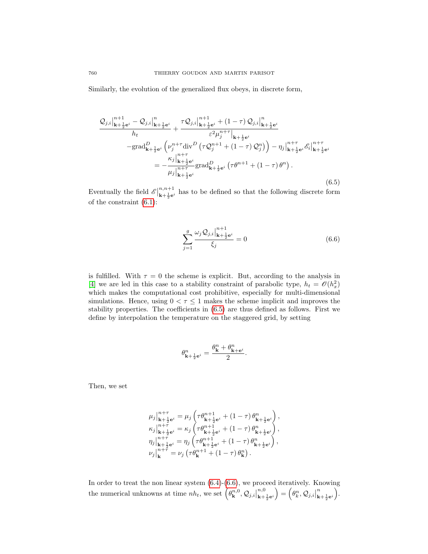Similarly, the evolution of the generalized flux obeys, in discrete form,

<span id="page-25-0"></span>
$$
\frac{\mathcal{Q}_{j,i}|_{\mathbf{k}+\frac{1}{2}\mathbf{e}^{i}}^{n+1} - \mathcal{Q}_{j,i}|_{\mathbf{k}+\frac{1}{2}\mathbf{e}^{i}}^{n+1} + \frac{\tau \mathcal{Q}_{j,i}|_{\mathbf{k}+\frac{1}{2}\mathbf{e}^{i}}^{n+1} + (1-\tau) \mathcal{Q}_{j,i}|_{\mathbf{k}+\frac{1}{2}\mathbf{e}^{i}}^{n}}{\varepsilon^{2} \mu_{j}^{n+\tau}|_{\mathbf{k}+\frac{1}{2}\mathbf{e}^{i}}}
$$
\n
$$
-\text{grad}_{\mathbf{k}+\frac{1}{2}\mathbf{e}^{i}}^{D} \left( \nu_{j}^{n+\tau} \text{div}^{D} \left( \tau \mathcal{Q}_{j}^{n+1} + (1-\tau) \mathcal{Q}_{j}^{n} \right) \right) - \eta_{j}|_{\mathbf{k}+\frac{1}{2}\mathbf{e}^{i}}^{n+\tau} \mathcal{E}_{i}|_{\mathbf{k}+\frac{1}{2}\mathbf{e}^{i}}^{n+\tau}
$$
\n
$$
= -\frac{\kappa_{j}|_{\mathbf{k}+\frac{1}{2}\mathbf{e}^{i}}^{n+\tau}}{\mu_{j}|_{\mathbf{k}+\frac{1}{2}\mathbf{e}^{i}}^{n+\tau} \text{grad}_{\mathbf{k}+\frac{1}{2}\mathbf{e}^{i}}^{D} \left( \tau \theta^{n+1} + (1-\tau) \theta^{n} \right). \tag{6.5}
$$

Eventually the field  $\mathscr{E}\big|$  $n,n+1$  $\mathbf{k}_{\mathbf{k}+\frac{1}{2}\mathbf{e}^{i}}$  has to be defined so that the following discrete form of the constraint [\(6.1\)](#page-23-1):

<span id="page-25-1"></span>
$$
\sum_{j=1}^{g} \frac{\omega_j Q_{j,i}|_{\mathbf{k}+\frac{1}{2}\mathbf{e}^i}}{\xi_j} = 0
$$
\n(6.6)

is fulfilled. With  $\tau = 0$  the scheme is explicit. But, according to the analysis in [\[4\]](#page-31-1) we are led in this case to a stability constraint of parabolic type,  $h_t = \mathcal{O}(h_x^2)$ which makes the computational cost prohibitive, especially for multi-dimensional simulations. Hence, using  $0 < \tau \leq 1$  makes the scheme implicit and improves the stability properties. The coefficients in [\(6.5\)](#page-25-0) are thus defined as follows. First we define by interpolation the temperature on the staggered grid, by setting

$$
\theta_{\mathbf{k}+\frac{1}{2}\mathbf{e}^i}^n=\frac{\theta_{\mathbf{k}}^n+\theta_{\mathbf{k}+\mathbf{e}^i}^n}{2}.
$$

Then, we set

$$
\mu_{j} \Big|_{\mathbf{k}+\frac{1}{2}\mathbf{e}^{i}}^{\mathbf{n}+\tau} = \mu_{j} \left( \tau \theta_{\mathbf{k}+\frac{1}{2}\mathbf{e}^{i}}^{\mathbf{n}+1} + (1-\tau) \theta_{\mathbf{k}+\frac{1}{2}\mathbf{e}^{i}}^{\mathbf{n}} \right),
$$
\n
$$
\kappa_{j} \Big|_{\mathbf{k}+\frac{1}{2}\mathbf{e}^{i}}^{\mathbf{n}+\tau} = \kappa_{j} \left( \tau \theta_{\mathbf{k}+\frac{1}{2}\mathbf{e}^{i}}^{\mathbf{n}+1} + (1-\tau) \theta_{\mathbf{k}+\frac{1}{2}\mathbf{e}^{i}}^{\mathbf{n}} \right),
$$
\n
$$
\eta_{j} \Big|_{\mathbf{k}+\frac{1}{2}\mathbf{e}^{i}}^{\mathbf{n}+\tau} = \eta_{j} \left( \tau \theta_{\mathbf{k}+\frac{1}{2}\mathbf{e}^{i}}^{\mathbf{n}+1} + (1-\tau) \theta_{\mathbf{k}+\frac{1}{2}\mathbf{e}^{i}}^{\mathbf{n}} \right),
$$
\n
$$
\nu_{j} \Big|_{\mathbf{k}}^{\mathbf{n}+\tau} = \nu_{j} \left( \tau \theta_{\mathbf{k}}^{\mathbf{n}+1} + (1-\tau) \theta_{\mathbf{k}}^{\mathbf{n}} \right).
$$

In order to treat the non linear system [\(6.4\)](#page-24-1)-[\(6.6\)](#page-25-1), we proceed iteratively. Knowing the numerical unknowns at time  $nh_t$ , we set  $(\theta_{\mathbf{k}}^{n,0},\mathcal{Q}_{j,i}|)$  $n,0$  $\left( \begin{matrix} n,0\ \mathbf{k}+\frac{1}{2}\mathbf{e}^{i} \end{matrix} \right) = \left( \theta_{k}^{n},\mathcal{Q}_{j,i} \right)$ n  $\frac{n}{\mathbf{k}+\frac{1}{2}\mathbf{e}^{i}}\bigg).$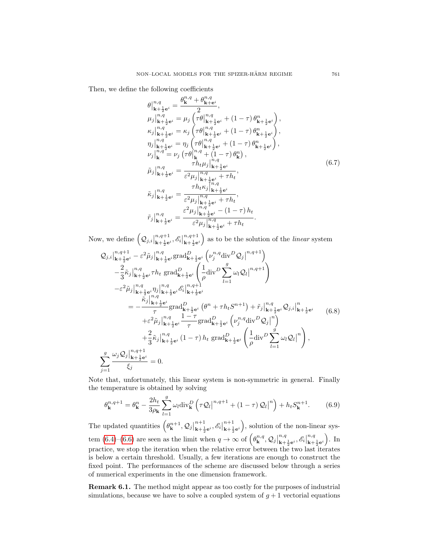Then, we define the following coefficients

<span id="page-26-2"></span>
$$
\theta_{\mathbf{k}+\frac{1}{2}\mathbf{e}^{i}}^{n,q} = \frac{\theta_{\mathbf{k}}^{n,q} + \theta_{\mathbf{k}+\mathbf{e}^{i}}^{n,q}}{2},
$$
\n
$$
\mu_{j} \Big|_{\mathbf{k}+\frac{1}{2}\mathbf{e}^{i}}^{n,q} = \mu_{j} \left( \tau \theta \Big|_{\mathbf{k}+\frac{1}{2}\mathbf{e}^{i}}^{n,q} + (1-\tau) \theta_{\mathbf{k}+\frac{1}{2}\mathbf{e}^{i}}^{n} \right),
$$
\n
$$
\kappa_{j} \Big|_{\mathbf{k}+\frac{1}{2}\mathbf{e}^{i}}^{n,q} = \kappa_{j} \left( \tau \theta \Big|_{\mathbf{k}+\frac{1}{2}\mathbf{e}^{i}}^{n,q} + (1-\tau) \theta_{\mathbf{k}+\frac{1}{2}\mathbf{e}^{i}}^{n} \right),
$$
\n
$$
\eta_{j} \Big|_{\mathbf{k}+\frac{1}{2}\mathbf{e}^{i}}^{n,q} = \eta_{j} \left( \tau \theta \Big|_{\mathbf{k}+\frac{1}{2}\mathbf{e}^{i}}^{n,q} + (1-\tau) \theta_{\mathbf{k}+\frac{1}{2}\mathbf{e}^{i}}^{n} \right),
$$
\n
$$
\nu_{j} \Big|_{\mathbf{k}}^{n,q} = \nu_{j} \left( \tau \theta \Big|_{\mathbf{k}}^{n,q} + (1-\tau) \theta_{\mathbf{k}}^{n} \right),
$$
\n
$$
\tilde{\mu}_{j} \Big|_{\mathbf{k}+\frac{1}{2}\mathbf{e}^{i}}^{n,q} = \frac{\tau h_{t} \mu_{j} \Big|_{\mathbf{k}+\frac{1}{2}\mathbf{e}^{i}}^{n,q}}{\varepsilon^{2} \mu_{j} \Big|_{\mathbf{k}+\frac{1}{2}\mathbf{e}^{i}}^{n,q} + \tau h_{t}},
$$
\n
$$
\tilde{\kappa}_{j} \Big|_{\mathbf{k}+\frac{1}{2}\mathbf{e}^{i}}^{n,q} = \frac{\tau h_{t} \kappa_{j} \Big|_{\mathbf{k}+\frac{1}{2}\mathbf{e}^{i}}^{n,q}}{\varepsilon^{2} \mu_{j} \Big|_{\mathbf{k}+\frac{1}{2}\mathbf{e}^{i}}^{n,q} +
$$

Now, we define  $(Q_{j,i}|)$  $n,q+1$  $\left. \begin{array}{l} n,q+1 \ k+\frac{1}{2} \mathbf{e}^i \end{array}, \mathscr{E}_i \right|$  $n,q+1$  $\mathbf{k}$ <sub>k+ $\frac{1}{2}$ e<sup>i</sup></sub>) as to be the solution of the *linear* system

<span id="page-26-0"></span>
$$
Q_{j,i}|_{\mathbf{k}+\frac{1}{2}\mathbf{e}^{i}}^{n,q+1} - \varepsilon^{2} \tilde{\mu}_{j}|_{\mathbf{k}+\frac{1}{2}\mathbf{e}^{i}}^{n,q} \text{grad}_{\mathbf{k}+\frac{1}{2}\mathbf{e}^{i}}^{D} \left( \nu_{j}^{n,q} \text{div}^{D} Q_{j} |^{n,q+1} \right) - \frac{2}{3} \tilde{\kappa}_{j}|_{\mathbf{k}+\frac{1}{2}\mathbf{e}^{i}}^{n,q} \tau h_{t} \text{ grad}_{\mathbf{k}+\frac{1}{2}\mathbf{e}^{i}}^{D} \left( \frac{1}{\rho} \text{div}^{D} \sum_{l=1}^{g} \omega_{l} Q_{l} |^{n,q+1} \right) - \varepsilon^{2} \tilde{\mu}_{j}|_{\mathbf{k}+\frac{1}{2}\mathbf{e}^{i}}^{n,q} \eta_{j} |_{\mathbf{k}+\frac{1}{2}\mathbf{e}^{i}}^{n,q} \left( \frac{1}{\rho} \text{div}^{D} \sum_{l=1}^{g} \omega_{l} Q_{l} |^{n,q+1} \right) = - \frac{\tilde{\kappa}_{j}|_{\mathbf{k}+\frac{1}{2}\mathbf{e}^{i}}^{n,q} \eta_{j} |_{\mathbf{k}+\frac{1}{2}\mathbf{e}^{i}}^{n,q}}{\tau} \text{grad}_{\mathbf{k}+\frac{1}{2}\mathbf{e}^{i}}^{D} \left( \theta^{n} + \tau h_{t} S^{n+1} \right) + \tilde{\tau}_{j}|_{\mathbf{k}+\frac{1}{2}\mathbf{e}^{i}}^{n,q} Q_{j,i}|_{\mathbf{k}+\frac{1}{2}\mathbf{e}^{i}}^{n} \left( 6.8 \right) + \varepsilon^{2} \tilde{\mu}_{j}|_{\mathbf{k}+\frac{1}{2}\mathbf{e}^{i}}^{n,q} \frac{1-\tau}{\tau} \text{grad}_{\mathbf{k}+\frac{1}{2}\mathbf{e}^{i}}^{D} \left( \nu_{j}^{n,q} \text{div}^{D} Q_{j} |^{n} \right) + \frac{2}{3} \tilde{\kappa}_{j}|_{\mathbf{k}+\frac{1}{2}\mathbf{e}^{i}}^{n,q+1} \left( 1-\tau \right) h_{t} \text{ grad}_{
$$

Note that, unfortunately, this linear system is non-symmetric in general. Finally the temperature is obtained by solving

<span id="page-26-1"></span>
$$
\theta_{\mathbf{k}}^{n,q+1} = \theta_{\mathbf{k}}^{n} - \frac{2h_t}{3\rho_{\mathbf{k}}} \sum_{l=1}^{g} \omega_l \text{div}_{\mathbf{k}}^{D} \left( \tau \mathcal{Q}_l \middle|^{n,q+1} + (1-\tau) \mathcal{Q}_l \middle|^{n} \right) + h_t S_{\mathbf{k}}^{n+1}.
$$
 (6.9)

The updated quantities  $(\theta_{\mathbf{k}}^{n+1},\mathcal{Q}_j | \mathcal{Q}_j)$  $n+1$  $\left. \begin{array}{l} n+1 \ k+\frac{1}{2}e^i, \mathscr{E}_i \end{array} \right|$  $n+1$  $\binom{n+1}{k+\frac{1}{2}e^i}$ , solution of the non-linear sys-tem [\(6.4\)](#page-24-1)–[\(6.6\)](#page-25-1) are seen as the limit when  $q \to \infty$  of  $(\theta_{\mathbf{k}}^{n,q}, \mathcal{Q}_j)$  $n,q$  ${}_{\mathbf{k}+\frac{1}{2}\mathbf{e}^{i}}^{n,q},\mathscr{E}_{i}\big|$  $n,q$  $\frac{n,q}{\mathbf{k}+\frac{1}{2}\mathbf{e}^i}$ . In practice, we stop the iteration when the relative error between the two last iterates is below a certain threshold. Usually, a few iterations are enough to construct the fixed point. The performances of the scheme are discussed below through a series of numerical experiments in the one dimension framework.

Remark 6.1. The method might appear as too costly for the purposes of industrial simulations, because we have to solve a coupled system of  $g + 1$  vectorial equations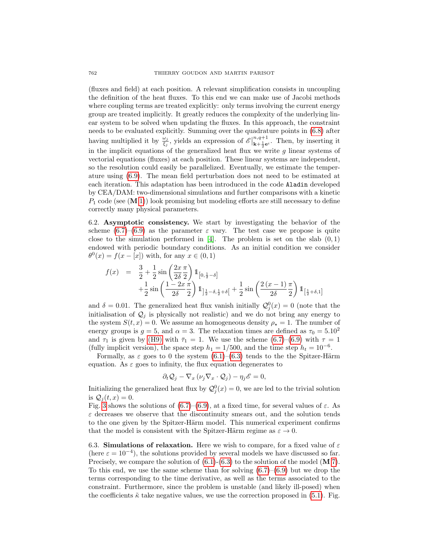(fluxes and field) at each position. A relevant simplification consists in uncoupling the definition of the heat fluxes. To this end we can make use of Jacobi methods where coupling terms are treated explicitly: only terms involving the current energy group are treated implicitly. It greatly reduces the complexity of the underlying linear system to be solved when updating the fluxes. In this approach, the constraint needs to be evaluated explicitly. Summing over the quadrature points in [\(6.8\)](#page-26-0) after having multiplied it by  $\frac{\omega_j}{\xi_j}$ , yields an expression of  $\mathscr{E}$  $n,q+1$  $\sum_{k+\frac{1}{2}e^{i}}^{n,q+1}$ . Then, by inserting it in the implicit equations of the generalized heat flux we write  $g$  linear systems of vectorial equations (fluxes) at each position. These linear systems are independent, so the resolution could easily be parallelized. Eventually, we estimate the temperature using [\(6.9\)](#page-26-1). The mean field perturbation does not need to be estimated at each iteration. This adaptation has been introduced in the code Aladin developed by CEA/DAM: two-dimensional simulations and further comparisons with a kinetic  $P_1$  code (see  $(M 1)$  $(M 1)$ ) look promising but modeling efforts are still necessary to define correctly many physical parameters.

6.2. Asymptotic consistency. We start by investigating the behavior of the scheme  $(6.7)$ – $(6.9)$  as the parameter  $\varepsilon$  vary. The test case we propose is quite close to the simulation performed in  $[4]$ . The problem is set on the slab  $(0, 1)$ endowed with periodic boundary conditions. As an initial condition we consider  $\theta^0(x) = f(x - [x])$  with, for any  $x \in (0, 1)$ 

$$
f(x) = \frac{3}{2} + \frac{1}{2}\sin\left(\frac{2x}{2\delta}\frac{\pi}{2}\right) 1\!\!1_{\left[0, \frac{1}{2} - \delta\right]} + \frac{1}{2}\sin\left(\frac{1 - 2x}{2\delta}\frac{\pi}{2}\right) 1\!\!1_{\left[\frac{1}{2} - \delta, \frac{1}{2} + \delta\right]} + \frac{1}{2}\sin\left(\frac{2(x - 1)}{2\delta}\frac{\pi}{2}\right) 1\!\!1_{\left[\frac{1}{2} + \delta, 1\right]}
$$

and  $\delta = 0.01$ . The generalized heat flux vanish initially  $\mathcal{Q}_j^0(x) = 0$  (note that the initialisation of  $\mathcal{Q}_i$  is physically not realistic) and we do not bring any energy to the system  $S(t, x) = 0$ . We assume an homogeneous density  $\rho_{\star} = 1$ . The number of energy groups is  $g = 5$ , and  $\alpha = 3$ . The relaxation times are defined as  $\tau_0 = 5.10^2$ and  $\tau_1$  is given by [\(H9\)](#page-13-1) with  $\bar{\tau}_1 = 1$ . We use the scheme [\(6.7\)](#page-26-2)–[\(6.9\)](#page-26-1) with  $\tau = 1$ (fully implicit version), the space step  $h_1 = 1/500$ , and the time step  $h_t = 10^{-6}$ .

Formally, as  $\varepsilon$  goes to 0 the system  $(6.1)$ – $(6.3)$  tends to the the Spitzer-Härm equation. As  $\varepsilon$  goes to infinity, the flux equation degenerates to

$$
\partial_t Q_j - \nabla_x (\nu_j \nabla_x \cdot Q_j) - \eta_j \mathscr{E} = 0,
$$

Initializing the generalized heat flux by  $\mathcal{Q}_{j}^{0}(x) = 0$ , we are led to the trivial solution is  $Q_i(t, x) = 0$ .

Fig. [3](#page-28-0) shows the solutions of [\(6.7\)](#page-26-2)–[\(6.9\)](#page-26-1), at a fixed time, for several values of  $\varepsilon$ . As  $\varepsilon$  decreases we observe that the discontinuity smears out, and the solution tends to the one given by the Spitzer-Härm model. This numerical experiment confirms that the model is consistent with the Spitzer-Härm regime as  $\varepsilon \to 0$ .

<span id="page-27-0"></span>6.3. Simulations of relaxation. Here we wish to compare, for a fixed value of  $\varepsilon$ (here  $\varepsilon = 10^{-4}$ ), the solutions provided by several models we have discussed so far. Precisely, we compare the solution of  $(6.1)-(6.3)$  $(6.1)-(6.3)$  to the solution of the model  $(M 7)$  $(M 7)$ . To this end, we use the same scheme than for solving  $(6.7)$ – $(6.9)$  but we drop the terms corresponding to the time derivative, as well as the terms associated to the constraint. Furthermore, since the problem is unstable (and likely ill-posed) when the coefficients  $\tilde{\kappa}$  take negative values, we use the correction proposed in [\(5.1\)](#page-15-2). Fig.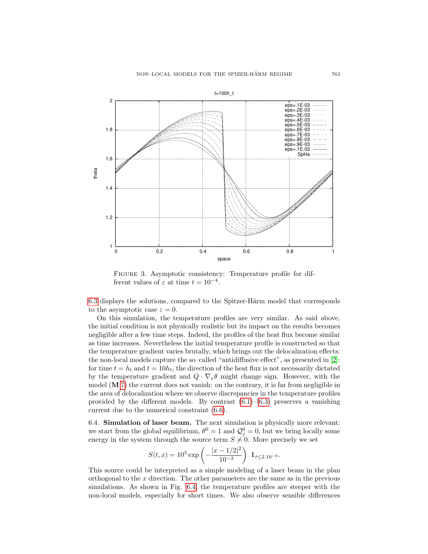

<span id="page-28-0"></span>FIGURE 3. Asymptotic consistency: Temperature profile for different values of  $\varepsilon$  at time  $t = 10^{-4}$ .

[6.3](#page-27-0) displays the solutions, compared to the Spitzer-Härm model that corresponds to the asymptotic case  $\varepsilon = 0$ .

On this simulation, the temperature profiles are very similar. As said above, the initial condition is not physically realistic but its impact on the results becomes negligible after a few time steps. Indeed, the profiles of the heat flux become similar as time increases. Nevertheless the initial temperature profile is constructed so that the temperature gradient varies brutally, which brings out the delocalization effects: the non-local models capture the so–called "antidiffusive effect", as presented in [\[2\]](#page-31-3): for time  $t = h_t$  and  $t = 10h_t$ , the direction of the heat flux is not necessarily dictated by the temperature gradient and  $Q \cdot \nabla_x \theta$  might change sign. However, with the model  $(M 7)$  $(M 7)$  the current does not vanish: on the contrary, it is far from negligible in the area of delocalization where we observe discrepancies in the temperature profiles provided by the different models. By contrast  $(6.1)$ – $(6.3)$  preserves a vanishing current due to the numerical constraint [\(6.6\)](#page-25-1).

<span id="page-28-1"></span>6.4. Simulation of laser beam. The next simulation is physically more relevant: we start from the global equilibrium,  $\theta^0 = 1$  and  $\mathcal{Q}_j^0 = 0$ , but we bring locally some energy in the system through the source term  $S \neq 0$ . More precisely we set

$$
S(t, x) = 10^5 \exp\left(-\frac{|x - 1/2|^2}{10^{-3}}\right) \mathbb{1}_{t \le 2.10^{-6}}.
$$

This source could be interpreted as a simple modeling of a laser beam in the plan orthogonal to the  $x$  direction. The other parameters are the same as in the previous simulations. As shown in Fig. [6.4,](#page-28-1) the temperature profiles are steeper with the non-local models, especially for short times. We also observe sensible differences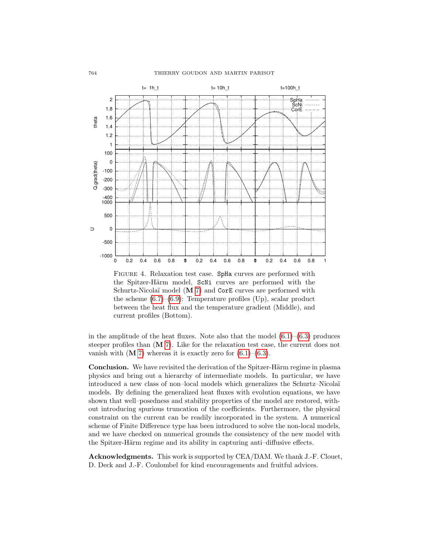

Figure 4. Relaxation test case. SpHa curves are performed with the Spitzer-Härm model, ScNi curves are performed with the Schurtz-Nicolaï model  $(M 7)$  $(M 7)$  and CorE curves are performed with the scheme  $(6.7)$ – $(6.9)$ : Temperature profiles  $(Up)$ , scalar product between the heat flux and the temperature gradient (Middle), and current profiles (Bottom).

in the amplitude of the heat fluxes. Note also that the model  $(6.1)$ – $(6.3)$  produces steeper profiles than (M [7\)](#page-15-1). Like for the relaxation test case, the current does not vanish with  $(M 7)$  $(M 7)$  whereas it is exactly zero for  $(6.1)$ – $(6.3)$ .

**Conclusion.** We have revisited the derivation of the Spitzer-Härm regime in plasma physics and bring out a hierarchy of intermediate models. In particular, we have introduced a new class of non–local models which generalizes the Schurtz–Nicola¨ı models. By defining the generalized heat fluxes with evolution equations, we have shown that well–posedness and stability properties of the model are restored, without introducing spurious truncation of the coefficients. Furthermore, the physical constraint on the current can be readily incorporated in the system. A numerical scheme of Finite Difference type has been introduced to solve the non-local models, and we have checked on numerical grounds the consistency of the new model with the Spitzer-Härm regime and its ability in capturing anti-diffusive effects.

Acknowledgments. This work is supported by CEA/DAM. We thank J.-F. Clouet, D. Deck and J.-F. Coulombel for kind encouragements and fruitful advices.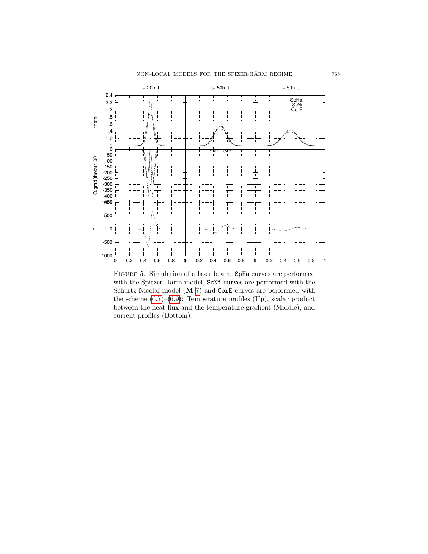## $\,$  NON–LOCAL MODELS FOR THE SPIZER-HÄRM REGIME  $\,$   $\,$  765  $\,$



Figure 5. Simulation of a laser beam. SpHa curves are performed with the Spitzer-Härm model, ScNi curves are performed with the Schurtz-Nicolaï model (M [7\)](#page-15-1) and CorE curves are performed with the scheme  $(6.7)$ – $(6.9)$ : Temperature profiles  $(Up)$ , scalar product between the heat flux and the temperature gradient (Middle), and current profiles (Bottom).